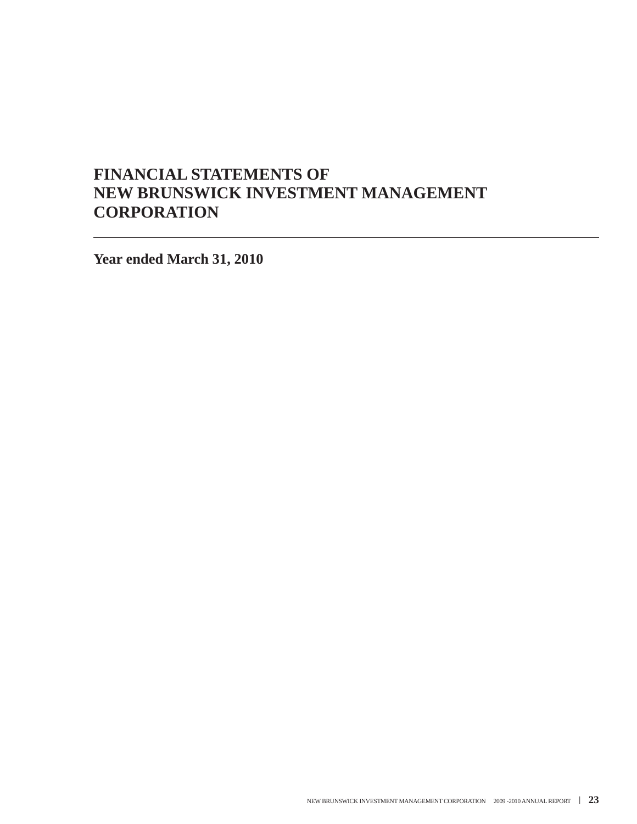# **FINANCIAL STATEMENTS OF NEW BRUNSWICK INVESTMENT MANAGEMENT CORPORATION**

**Year ended March 31, 2010**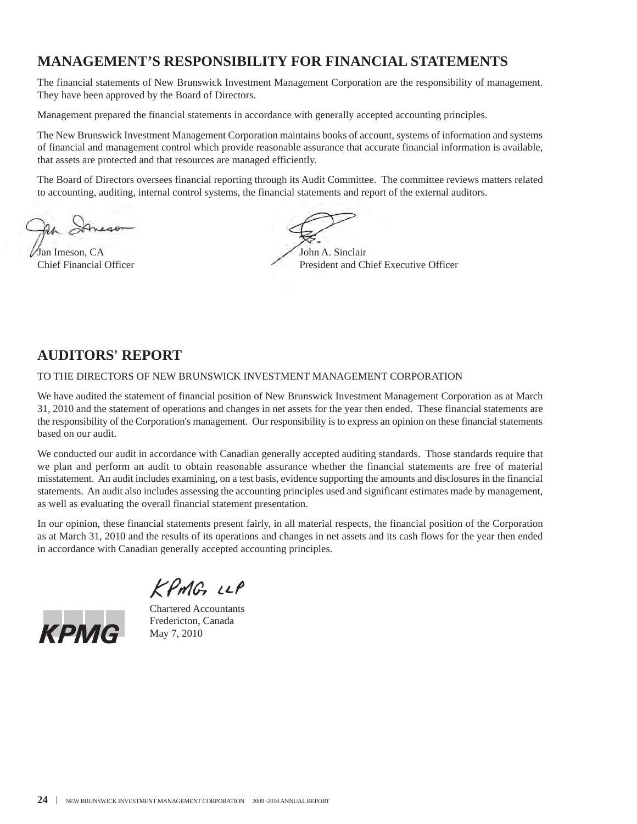## **MANAGEMENT'S RESPONSIBILITY FOR FINANCIAL STATEMENTS**

The financial statements of New Brunswick Investment Management Corporation are the responsibility of management. They have been approved by the Board of Directors.

Management prepared the financial statements in accordance with generally accepted accounting principles.

The New Brunswick Investment Management Corporation maintains books of account, systems of information and systems of financial and management control which provide reasonable assurance that accurate financial information is available, that assets are protected and that resources are managed efficiently.

The Board of Directors oversees financial reporting through its Audit Committee. The committee reviews matters related to accounting, auditing, internal control systems, the financial statements and report of the external auditors.

Jan Imeson, CA John A. Sinclair

Chief Financial Officer **President and Chief Executive Officer** President and Chief Executive Officer

### **AUDITORS' REPORT**

TO THE DIRECTORS OF NEW BRUNSWICK INVESTMENT MANAGEMENT CORPORATION

We have audited the statement of financial position of New Brunswick Investment Management Corporation as at March 31, 2010 and the statement of operations and changes in net assets for the year then ended. These financial statements are the responsibility of the Corporation's management. Our responsibility is to express an opinion on these financial statements based on our audit.

We conducted our audit in accordance with Canadian generally accepted auditing standards. Those standards require that we plan and perform an audit to obtain reasonable assurance whether the financial statements are free of material misstatement. An audit includes examining, on a test basis, evidence supporting the amounts and disclosures in the financial statements. An audit also includes assessing the accounting principles used and significant estimates made by management, as well as evaluating the overall financial statement presentation.

In our opinion, these financial statements present fairly, in all material respects, the financial position of the Corporation as at March 31, 2010 and the results of its operations and changes in net assets and its cash flows for the year then ended in accordance with Canadian generally accepted accounting principles.

KPMG LLP



Chartered Accountants Fredericton, Canada May 7, 2010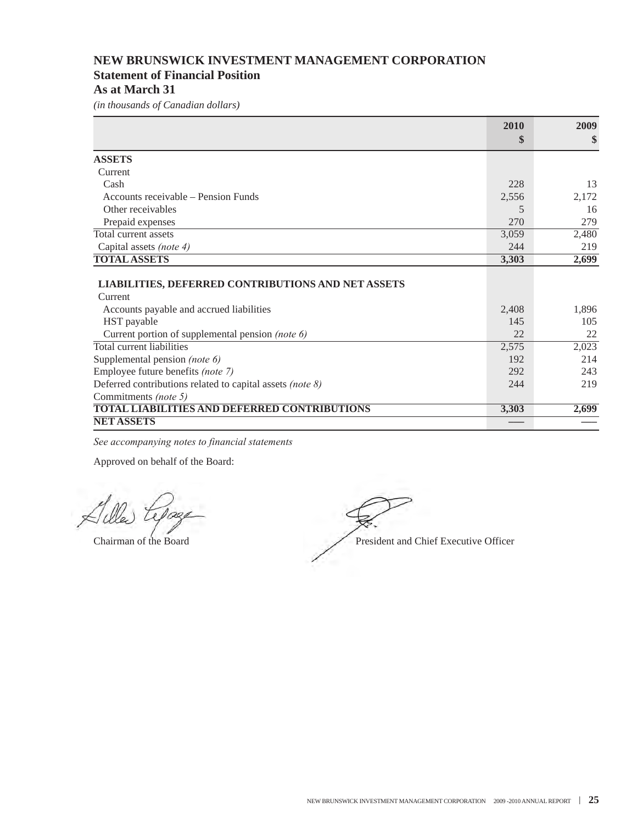### **NEW BRUNSWICK INVESTMENT MANAGEMENT CORPORATION Statement of Financial Position**

**As at March 31**

*(in thousands of Canadian dollars)*

|                                                                   | 2010  | 2009  |
|-------------------------------------------------------------------|-------|-------|
|                                                                   | \$    | \$    |
| <b>ASSETS</b>                                                     |       |       |
| Current                                                           |       |       |
| Cash                                                              | 228   | 13    |
| Accounts receivable – Pension Funds                               | 2,556 | 2,172 |
| Other receivables                                                 | 5     | 16    |
| Prepaid expenses                                                  | 270   | 279   |
| Total current assets                                              | 3,059 | 2,480 |
| Capital assets (note 4)                                           | 244   | 219   |
| <b>TOTAL ASSETS</b>                                               | 3,303 | 2,699 |
| <b>LIABILITIES, DEFERRED CONTRIBUTIONS AND NET ASSETS</b>         |       |       |
| Current                                                           |       |       |
| Accounts payable and accrued liabilities                          | 2,408 | 1,896 |
| HST payable                                                       | 145   | 105   |
| Current portion of supplemental pension (note 6)                  | 22    | 22    |
| Total current liabilities                                         | 2,575 | 2,023 |
| Supplemental pension (note 6)                                     | 192   | 214   |
| Employee future benefits (note 7)                                 | 292   | 243   |
| Deferred contributions related to capital assets (note $\delta$ ) | 244   | 219   |
| Commitments (note 5)                                              |       |       |
| <b>TOTAL LIABILITIES AND DEFERRED CONTRIBUTIONS</b>               | 3,303 | 2,699 |
| <b>NET ASSETS</b>                                                 |       |       |

*See accompanying notes to financial statements*

Chairman of the Board President and Chief Executive Officer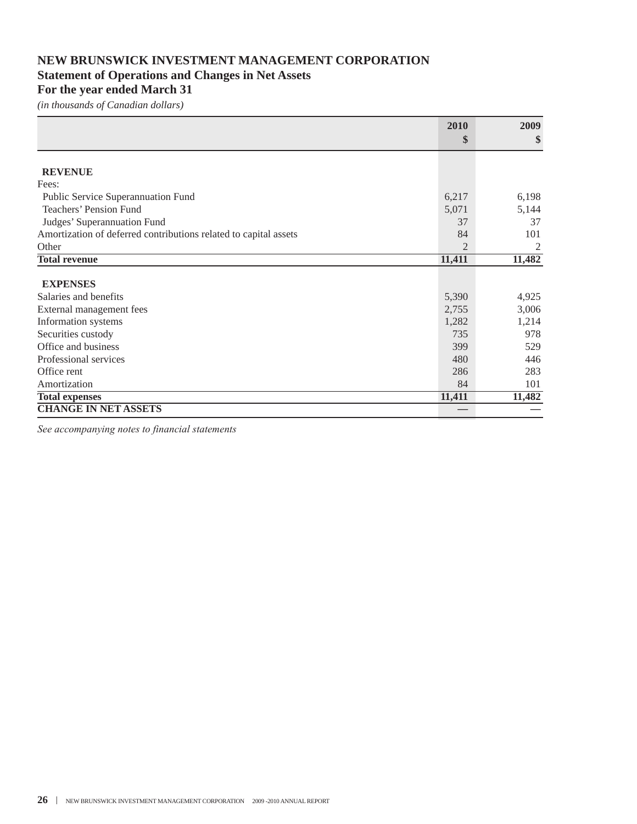### **NEW BRUNSWICK INVESTMENT MANAGEMENT CORPORATION Statement of Operations and Changes in Net Assets**

### **For the year ended March 31**

*(in thousands of Canadian dollars)*

|                                                                  | 2010           | 2009   |
|------------------------------------------------------------------|----------------|--------|
|                                                                  | \$             | \$     |
|                                                                  |                |        |
| <b>REVENUE</b>                                                   |                |        |
| Fees:                                                            |                |        |
| Public Service Superannuation Fund                               | 6,217          | 6,198  |
| Teachers' Pension Fund                                           | 5,071          | 5,144  |
| Judges' Superannuation Fund                                      | 37             | 37     |
| Amortization of deferred contributions related to capital assets | 84             | 101    |
| Other                                                            | $\mathfrak{D}$ | 2      |
| <b>Total revenue</b>                                             | 11,411         | 11,482 |
| <b>EXPENSES</b>                                                  |                |        |
| Salaries and benefits                                            | 5,390          | 4,925  |
| External management fees                                         | 2,755          | 3,006  |
| Information systems                                              | 1,282          | 1,214  |
| Securities custody                                               | 735            | 978    |
| Office and business                                              | 399            | 529    |
| Professional services                                            | 480            | 446    |
| Office rent                                                      | 286            | 283    |
| Amortization                                                     | 84             | 101    |
| <b>Total expenses</b>                                            | 11,411         | 11,482 |
| <b>CHANGE IN NET ASSETS</b>                                      |                |        |

*See accompanying notes to financial statements*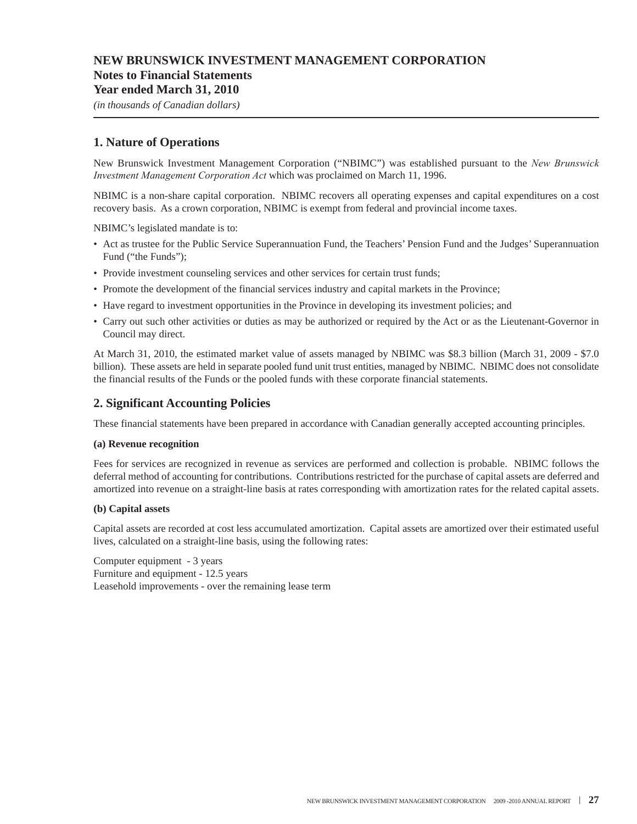#### **Notes to Financial Statements**

#### **Year ended March 31, 2010**

*(in thousands of Canadian dollars)*

### **1. Nature of Operations**

New Brunswick Investment Management Corporation ("NBIMC") was established pursuant to the *New Brunswick Investment Management Corporation Act* which was proclaimed on March 11, 1996.

NBIMC is a non-share capital corporation. NBIMC recovers all operating expenses and capital expenditures on a cost recovery basis. As a crown corporation, NBIMC is exempt from federal and provincial income taxes.

NBIMC's legislated mandate is to:

- Act as trustee for the Public Service Superannuation Fund, the Teachers' Pension Fund and the Judges' Superannuation Fund ("the Funds");
- Provide investment counseling services and other services for certain trust funds;
- Promote the development of the financial services industry and capital markets in the Province;
- Have regard to investment opportunities in the Province in developing its investment policies; and
- Carry out such other activities or duties as may be authorized or required by the Act or as the Lieutenant-Governor in Council may direct.

At March 31, 2010, the estimated market value of assets managed by NBIMC was \$8.3 billion (March 31, 2009 - \$7.0 billion). These assets are held in separate pooled fund unit trust entities, managed by NBIMC. NBIMC does not consolidate the financial results of the Funds or the pooled funds with these corporate financial statements.

### **2. Significant Accounting Policies**

These financial statements have been prepared in accordance with Canadian generally accepted accounting principles.

#### **(a) Revenue recognition**

Fees for services are recognized in revenue as services are performed and collection is probable. NBIMC follows the deferral method of accounting for contributions. Contributions restricted for the purchase of capital assets are deferred and amortized into revenue on a straight-line basis at rates corresponding with amortization rates for the related capital assets.

#### **(b) Capital assets**

Capital assets are recorded at cost less accumulated amortization. Capital assets are amortized over their estimated useful lives, calculated on a straight-line basis, using the following rates:

Computer equipment - 3 years Furniture and equipment - 12.5 years Leasehold improvements - over the remaining lease term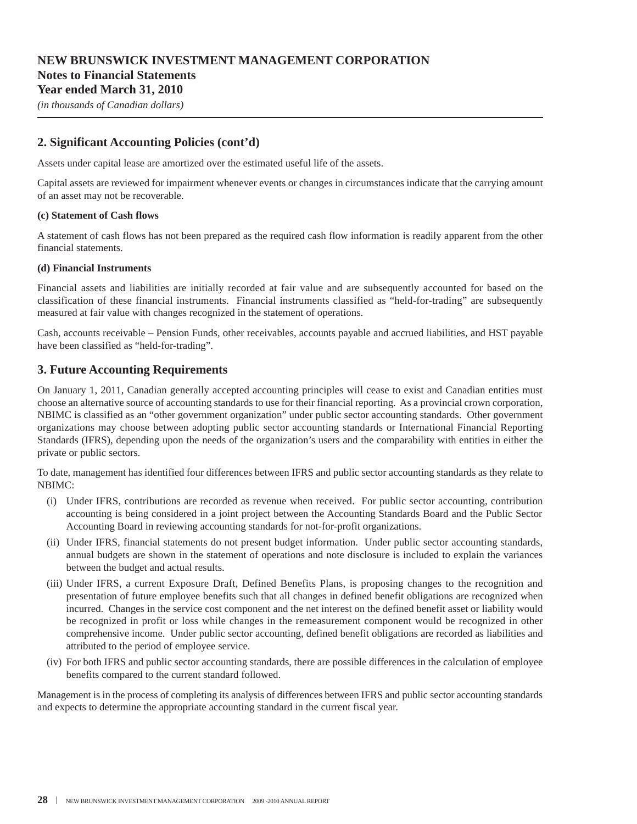*(in thousands of Canadian dollars)*

#### **2. Significant Accounting Policies (cont'd)**

Assets under capital lease are amortized over the estimated useful life of the assets.

Capital assets are reviewed for impairment whenever events or changes in circumstances indicate that the carrying amount of an asset may not be recoverable.

#### **(c) Statement of Cash flows**

A statement of cash flows has not been prepared as the required cash flow information is readily apparent from the other financial statements.

#### **(d) Financial Instruments**

Financial assets and liabilities are initially recorded at fair value and are subsequently accounted for based on the classification of these financial instruments. Financial instruments classified as "held-for-trading" are subsequently measured at fair value with changes recognized in the statement of operations.

Cash, accounts receivable – Pension Funds, other receivables, accounts payable and accrued liabilities, and HST payable have been classified as "held-for-trading".

#### **3. Future Accounting Requirements**

On January 1, 2011, Canadian generally accepted accounting principles will cease to exist and Canadian entities must choose an alternative source of accounting standards to use for their financial reporting. As a provincial crown corporation, NBIMC is classified as an "other government organization" under public sector accounting standards. Other government organizations may choose between adopting public sector accounting standards or International Financial Reporting Standards (IFRS), depending upon the needs of the organization's users and the comparability with entities in either the private or public sectors.

To date, management has identified four differences between IFRS and public sector accounting standards as they relate to NBIMC:

- (i) Under IFRS, contributions are recorded as revenue when received. For public sector accounting, contribution accounting is being considered in a joint project between the Accounting Standards Board and the Public Sector Accounting Board in reviewing accounting standards for not-for-profit organizations.
- (ii) Under IFRS, financial statements do not present budget information. Under public sector accounting standards, annual budgets are shown in the statement of operations and note disclosure is included to explain the variances between the budget and actual results.
- (iii) Under IFRS, a current Exposure Draft, Defined Benefits Plans, is proposing changes to the recognition and presentation of future employee benefits such that all changes in defined benefit obligations are recognized when incurred. Changes in the service cost component and the net interest on the defined benefit asset or liability would be recognized in profit or loss while changes in the remeasurement component would be recognized in other comprehensive income. Under public sector accounting, defined benefit obligations are recorded as liabilities and attributed to the period of employee service.
- (iv) For both IFRS and public sector accounting standards, there are possible differences in the calculation of employee benefits compared to the current standard followed.

Management is in the process of completing its analysis of differences between IFRS and public sector accounting standards and expects to determine the appropriate accounting standard in the current fiscal year.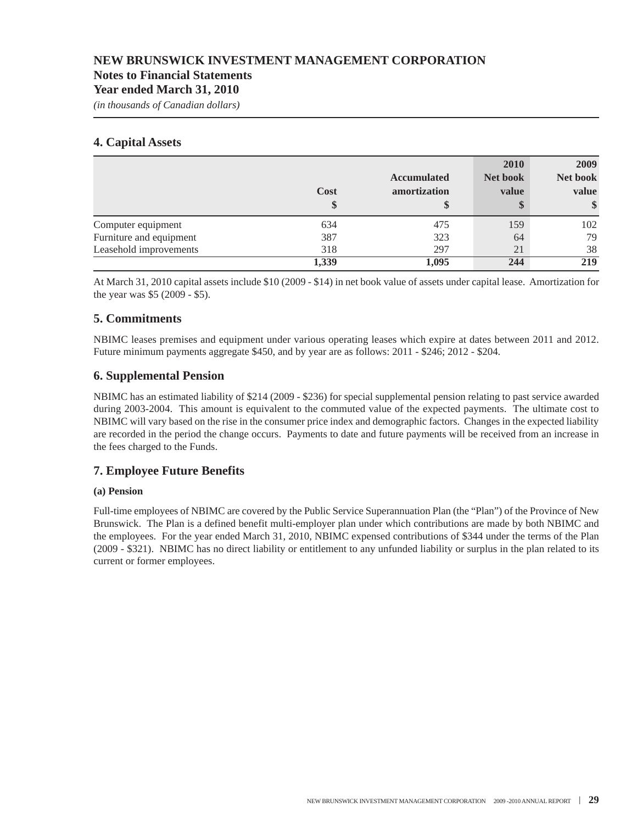#### **Notes to Financial Statements**

#### **Year ended March 31, 2010**

*(in thousands of Canadian dollars)*

#### **4. Capital Assets**

|                         | Cost<br>\$ | <b>Accumulated</b><br>amortization<br>\$ | 2010<br>Net book<br>value<br>\$ | 2009<br>Net book<br>value<br>$\frac{1}{2}$ |
|-------------------------|------------|------------------------------------------|---------------------------------|--------------------------------------------|
| Computer equipment      | 634        | 475                                      | 159                             | 102                                        |
| Furniture and equipment | 387        | 323                                      | 64                              | 79                                         |
| Leasehold improvements  | 318        | 297                                      | 21                              | 38                                         |
|                         | 1,339      | 1,095                                    | 244                             | 219                                        |

At March 31, 2010 capital assets include \$10 (2009 - \$14) in net book value of assets under capital lease. Amortization for the year was \$5 (2009 - \$5).

### **5. Commitments**

NBIMC leases premises and equipment under various operating leases which expire at dates between 2011 and 2012. Future minimum payments aggregate \$450, and by year are as follows: 2011 - \$246; 2012 - \$204.

#### **6. Supplemental Pension**

NBIMC has an estimated liability of \$214 (2009 - \$236) for special supplemental pension relating to past service awarded during 2003-2004. This amount is equivalent to the commuted value of the expected payments. The ultimate cost to NBIMC will vary based on the rise in the consumer price index and demographic factors. Changes in the expected liability are recorded in the period the change occurs. Payments to date and future payments will be received from an increase in the fees charged to the Funds.

### **7. Employee Future Benefits**

#### **(a) Pension**

Full-time employees of NBIMC are covered by the Public Service Superannuation Plan (the "Plan") of the Province of New Brunswick. The Plan is a defined benefit multi-employer plan under which contributions are made by both NBIMC and the employees. For the year ended March 31, 2010, NBIMC expensed contributions of \$344 under the terms of the Plan (2009 - \$321). NBIMC has no direct liability or entitlement to any unfunded liability or surplus in the plan related to its current or former employees.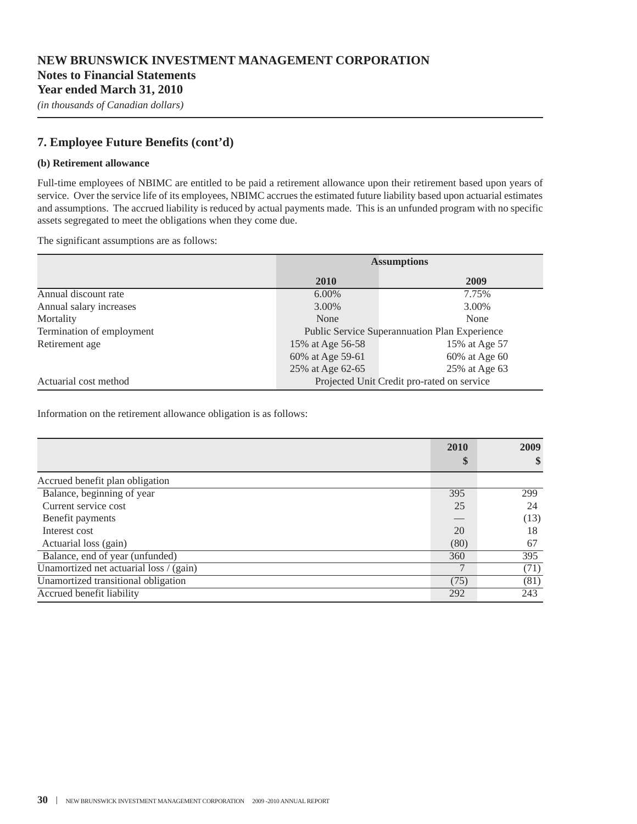*(in thousands of Canadian dollars)*

### **7. Employee Future Benefits (cont'd)**

#### **(b) Retirement allowance**

Full-time employees of NBIMC are entitled to be paid a retirement allowance upon their retirement based upon years of service. Over the service life of its employees, NBIMC accrues the estimated future liability based upon actuarial estimates and assumptions. The accrued liability is reduced by actual payments made. This is an unfunded program with no specific assets segregated to meet the obligations when they come due.

The significant assumptions are as follows:

|                           | <b>Assumptions</b>                            |               |  |
|---------------------------|-----------------------------------------------|---------------|--|
|                           | <b>2010</b>                                   | 2009          |  |
| Annual discount rate      | $6.00\%$                                      | 7.75%         |  |
| Annual salary increases   | 3.00%                                         | 3.00%         |  |
| Mortality                 | None                                          | None          |  |
| Termination of employment | Public Service Superannuation Plan Experience |               |  |
| Retirement age            | 15% at Age 56-58                              | 15% at Age 57 |  |
|                           | 60% at Age 59-61                              | 60% at Age 60 |  |
|                           | 25% at Age 62-65                              | 25% at Age 63 |  |
| Actuarial cost method     | Projected Unit Credit pro-rated on service    |               |  |

Information on the retirement allowance obligation is as follows:

|                                         | 2010 | 2009 |
|-----------------------------------------|------|------|
|                                         | \$   | \$   |
| Accrued benefit plan obligation         |      |      |
| Balance, beginning of year              | 395  | 299  |
| Current service cost                    | 25   | 24   |
| Benefit payments                        |      | (13) |
| Interest cost                           | 20   | 18   |
| Actuarial loss (gain)                   | (80) | 67   |
| Balance, end of year (unfunded)         | 360  | 395  |
| Unamortized net actuarial loss / (gain) |      | (71) |
| Unamortized transitional obligation     | (75) | (81) |
| Accrued benefit liability               | 292  | 243  |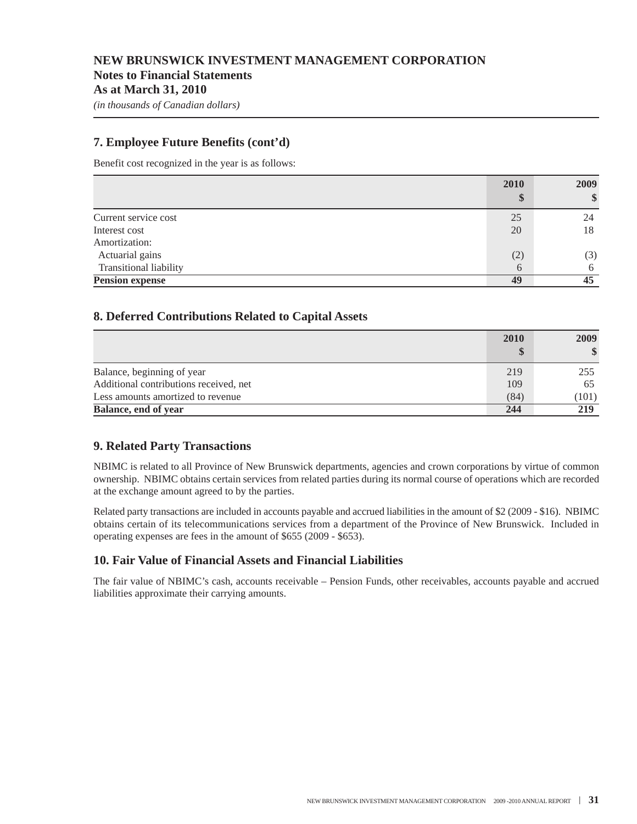#### **7. Employee Future Benefits (cont'd)**

Benefit cost recognized in the year is as follows:

|                               | 2010     | 2009 |
|-------------------------------|----------|------|
|                               |          | \$   |
| Current service cost          | 25       | 24   |
| Interest cost                 | 20       | 18   |
| Amortization:                 |          |      |
| Actuarial gains               | (2)      | (3)  |
| <b>Transitional liability</b> | $\theta$ | 6    |
| <b>Pension expense</b>        | 49       | 45   |

#### **8. Deferred Contributions Related to Capital Assets**

|                                        | 2010 | 2009          |
|----------------------------------------|------|---------------|
|                                        |      | $\mathbf{\$}$ |
| Balance, beginning of year             | 219  | 255           |
| Additional contributions received, net | 109  | 65            |
| Less amounts amortized to revenue      | (84) | (101)         |
| Balance, end of year                   | 244  | 219           |

#### **9. Related Party Transactions**

NBIMC is related to all Province of New Brunswick departments, agencies and crown corporations by virtue of common ownership. NBIMC obtains certain services from related parties during its normal course of operations which are recorded at the exchange amount agreed to by the parties.

Related party transactions are included in accounts payable and accrued liabilities in the amount of \$2 (2009 - \$16). NBIMC obtains certain of its telecommunications services from a department of the Province of New Brunswick. Included in operating expenses are fees in the amount of \$655 (2009 - \$653).

#### **10. Fair Value of Financial Assets and Financial Liabilities**

The fair value of NBIMC's cash, accounts receivable – Pension Funds, other receivables, accounts payable and accrued liabilities approximate their carrying amounts.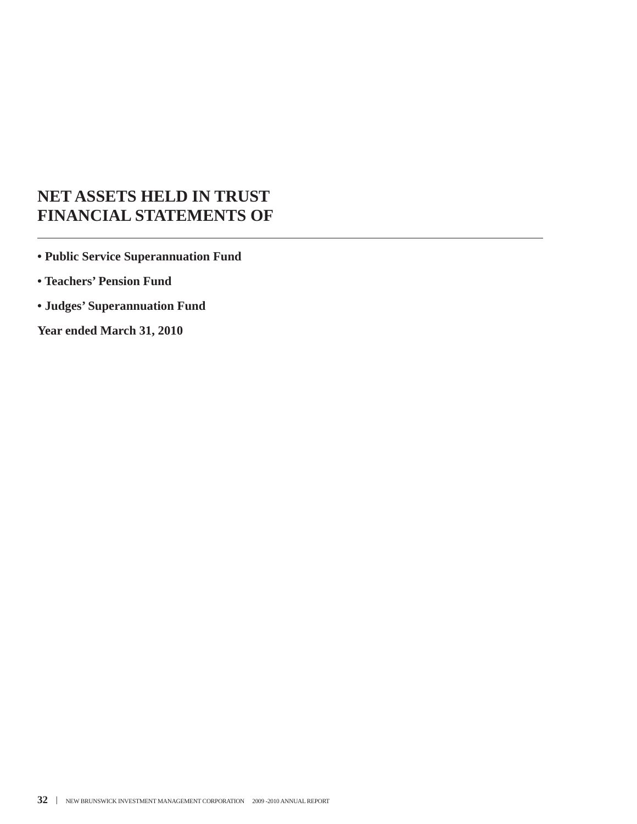# **NET ASSETS HELD IN TRUST FINANCIAL STATEMENTS OF**

**• Public Service Superannuation Fund**

**• Teachers' Pension Fund**

**• Judges' Superannuation Fund**

**Year ended March 31, 2010**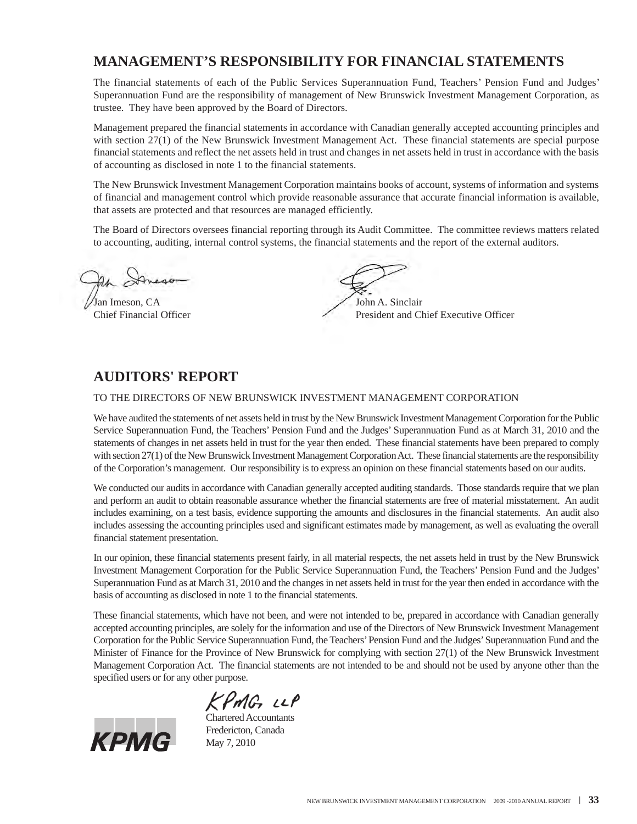## **MANAGEMENT'S RESPONSIBILITY FOR FINANCIAL STATEMENTS**

The financial statements of each of the Public Services Superannuation Fund, Teachers' Pension Fund and Judges' Superannuation Fund are the responsibility of management of New Brunswick Investment Management Corporation, as trustee. They have been approved by the Board of Directors.

Management prepared the financial statements in accordance with Canadian generally accepted accounting principles and with section 27(1) of the New Brunswick Investment Management Act. These financial statements are special purpose financial statements and reflect the net assets held in trust and changes in net assets held in trust in accordance with the basis of accounting as disclosed in note 1 to the financial statements.

The New Brunswick Investment Management Corporation maintains books of account, systems of information and systems of financial and management control which provide reasonable assurance that accurate financial information is available, that assets are protected and that resources are managed efficiently.

The Board of Directors oversees financial reporting through its Audit Committee. The committee reviews matters related to accounting, auditing, internal control systems, the financial statements and the report of the external auditors.

Jan Imeson, CA John A. Sinclair

Chief Financial Officer President and Chief Executive Officer

### **AUDITORS' REPORT**

#### TO THE DIRECTORS OF NEW BRUNSWICK INVESTMENT MANAGEMENT CORPORATION

We have audited the statements of net assets held in trust by the New Brunswick Investment Management Corporation for the Public Service Superannuation Fund, the Teachers' Pension Fund and the Judges' Superannuation Fund as at March 31, 2010 and the statements of changes in net assets held in trust for the year then ended. These financial statements have been prepared to comply with section 27(1) of the New Brunswick Investment Management Corporation Act. These financial statements are the responsibility of the Corporation's management. Our responsibility is to express an opinion on these financial statements based on our audits.

We conducted our audits in accordance with Canadian generally accepted auditing standards. Those standards require that we plan and perform an audit to obtain reasonable assurance whether the financial statements are free of material misstatement. An audit includes examining, on a test basis, evidence supporting the amounts and disclosures in the financial statements. An audit also includes assessing the accounting principles used and significant estimates made by management, as well as evaluating the overall financial statement presentation.

In our opinion, these financial statements present fairly, in all material respects, the net assets held in trust by the New Brunswick Investment Management Corporation for the Public Service Superannuation Fund, the Teachers' Pension Fund and the Judges' Superannuation Fund as at March 31, 2010 and the changes in net assets held in trust for the year then ended in accordance with the basis of accounting as disclosed in note 1 to the financial statements.

These financial statements, which have not been, and were not intended to be, prepared in accordance with Canadian generally accepted accounting principles, are solely for the information and use of the Directors of New Brunswick Investment Management Corporation for the Public Service Superannuation Fund, the Teachers'Pension Fund and the Judges'Superannuation Fund and the Minister of Finance for the Province of New Brunswick for complying with section 27(1) of the New Brunswick Investment Management Corporation Act. The financial statements are not intended to be and should not be used by anyone other than the specified users or for any other purpose.



KPMG LLP Chartered Accountants Fredericton, Canada May 7, 2010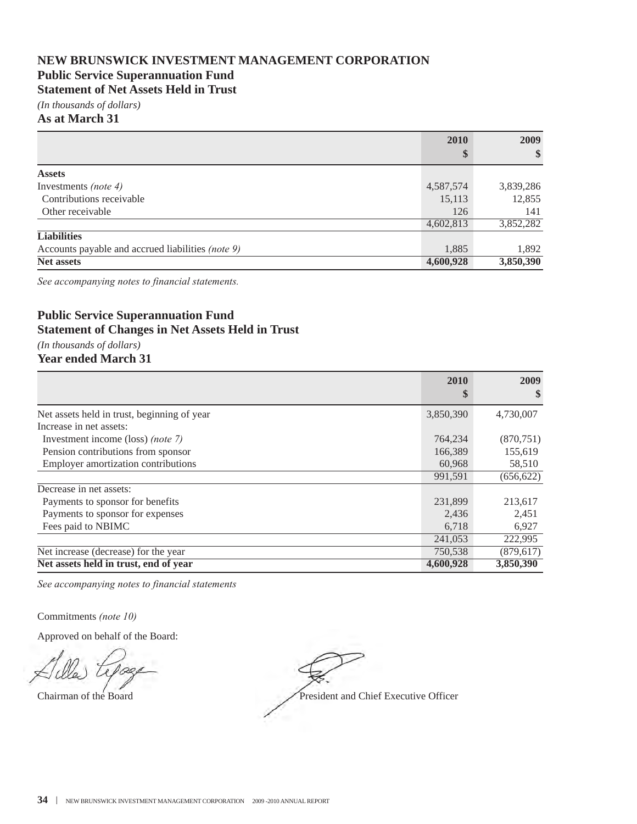### **NEW BRUNSWICK INVESTMENT MANAGEMENT CORPORATION Public Service Superannuation Fund**

### **Statement of Net Assets Held in Trust**

*(In thousands of dollars)*

**As at March 31**

|                                                   | 2010      | 2009      |
|---------------------------------------------------|-----------|-----------|
|                                                   | \$        | $\$\$     |
| <b>Assets</b>                                     |           |           |
| Investments <i>(note 4)</i>                       | 4,587,574 | 3,839,286 |
| Contributions receivable                          | 15,113    | 12,855    |
| Other receivable                                  | 126       | 141       |
|                                                   | 4,602,813 | 3,852,282 |
| <b>Liabilities</b>                                |           |           |
| Accounts payable and accrued liabilities (note 9) | 1,885     | 1,892     |
| <b>Net assets</b>                                 | 4,600,928 | 3,850,390 |

*See accompanying notes to financial statements.*

### **Public Service Superannuation Fund Statement of Changes in Net Assets Held in Trust**

*(In thousands of dollars)*

### **Year ended March 31**

|                                             | 2010      | 2009       |
|---------------------------------------------|-----------|------------|
|                                             | \$        | \$         |
| Net assets held in trust, beginning of year | 3,850,390 | 4,730,007  |
| Increase in net assets:                     |           |            |
| Investment income (loss) (note 7)           | 764,234   | (870, 751) |
| Pension contributions from sponsor          | 166,389   | 155,619    |
| Employer amortization contributions         | 60,968    | 58,510     |
|                                             | 991,591   | (656, 622) |
| Decrease in net assets:                     |           |            |
| Payments to sponsor for benefits            | 231,899   | 213,617    |
| Payments to sponsor for expenses            | 2,436     | 2,451      |
| Fees paid to NBIMC                          | 6,718     | 6,927      |
|                                             | 241,053   | 222,995    |
| Net increase (decrease) for the year        | 750,538   | (879, 617) |
| Net assets held in trust, end of year       | 4,600,928 | 3,850,390  |

*See accompanying notes to financial statements*

Commitments *(note 10)*

Chairman of the Board President and Chief Executive Officer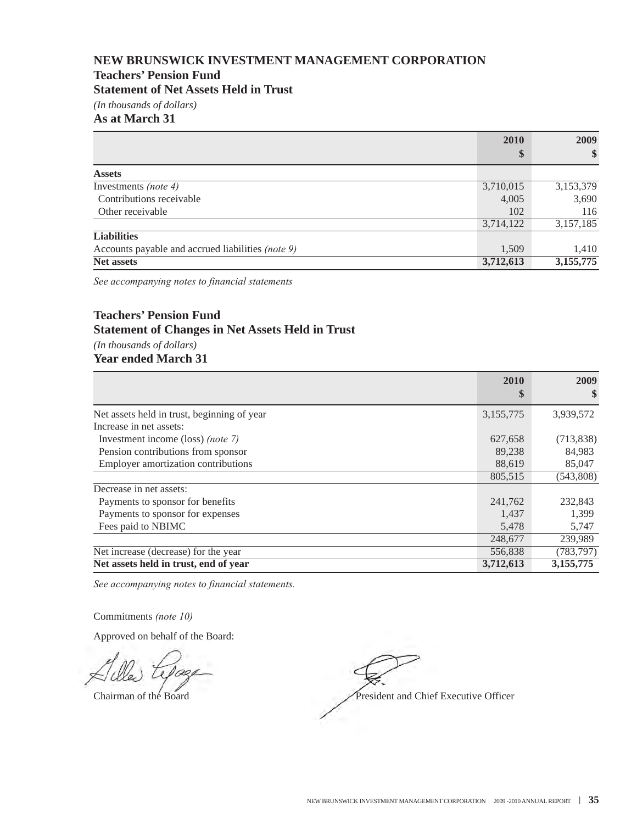### **Teachers' Pension Fund**

**Statement of Net Assets Held in Trust**

*(In thousands of dollars)*

#### **As at March 31**

|                                                   | 2010      | 2009                   |
|---------------------------------------------------|-----------|------------------------|
|                                                   | \$        | $\frac{1}{2}$          |
| <b>Assets</b>                                     |           |                        |
| Investments <i>(note 4)</i>                       | 3,710,015 | 3,153,379              |
| Contributions receivable                          | 4,005     | 3,690                  |
| Other receivable                                  | 102       | 116                    |
|                                                   | 3,714,122 | 3,157,185              |
| <b>Liabilities</b>                                |           |                        |
| Accounts payable and accrued liabilities (note 9) | 1,509     | 1,410                  |
| <b>Net assets</b>                                 | 3,712,613 | $3,\overline{155,775}$ |

*See accompanying notes to financial statements*

### **Teachers' Pension Fund Statement of Changes in Net Assets Held in Trust**

*(In thousands of dollars)* **Year ended March 31**

|                                             | 2010      | 2009         |
|---------------------------------------------|-----------|--------------|
|                                             | \$        | $\mathbf{s}$ |
| Net assets held in trust, beginning of year | 3,155,775 | 3,939,572    |
| Increase in net assets:                     |           |              |
| Investment income (loss) <i>(note 7)</i>    | 627,658   | (713,838)    |
| Pension contributions from sponsor          | 89,238    | 84,983       |
| Employer amortization contributions         | 88,619    | 85,047       |
|                                             | 805,515   | (543,808)    |
| Decrease in net assets:                     |           |              |
| Payments to sponsor for benefits            | 241,762   | 232,843      |
| Payments to sponsor for expenses            | 1,437     | 1,399        |
| Fees paid to NBIMC                          | 5,478     | 5,747        |
|                                             | 248,677   | 239,989      |
| Net increase (decrease) for the year        | 556,838   | (783, 797)   |
| Net assets held in trust, end of year       | 3,712,613 | 3,155,775    |

*See accompanying notes to financial statements.*

Commitments *(note 10)*

Chairman of the Board President and Chief Executive Officer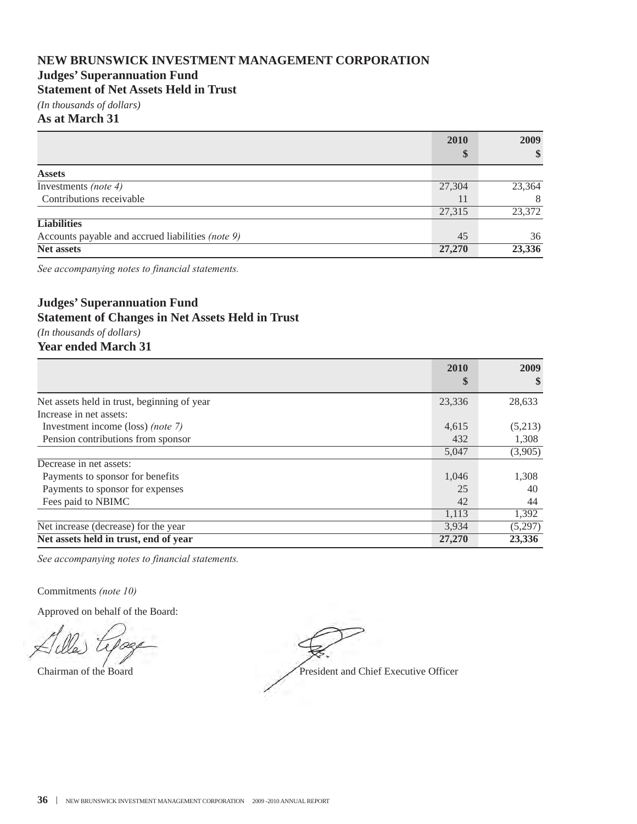### **Judges' Superannuation Fund**

**Statement of Net Assets Held in Trust**

*(In thousands of dollars)*

#### **As at March 31**

|                                                   | 2010   | 2009   |
|---------------------------------------------------|--------|--------|
|                                                   | \$     | \$     |
| <b>Assets</b>                                     |        |        |
| Investments (note 4)                              | 27,304 | 23,364 |
| Contributions receivable                          | 11     | 8      |
|                                                   | 27,315 | 23,372 |
| <b>Liabilities</b>                                |        |        |
| Accounts payable and accrued liabilities (note 9) | 45     | 36     |
| <b>Net assets</b>                                 | 27,270 | 23,336 |

*See accompanying notes to financial statements.*

### **Judges' Superannuation Fund Statement of Changes in Net Assets Held in Trust**

*(In thousands of dollars)* **Year ended March 31**

|                                             | 2010   | 2009    |
|---------------------------------------------|--------|---------|
|                                             | \$     | S       |
| Net assets held in trust, beginning of year | 23,336 | 28,633  |
| Increase in net assets:                     |        |         |
| Investment income (loss) (note 7)           | 4,615  | (5,213) |
| Pension contributions from sponsor          | 432    | 1,308   |
|                                             | 5,047  | (3,905) |
| Decrease in net assets:                     |        |         |
| Payments to sponsor for benefits            | 1,046  | 1,308   |
| Payments to sponsor for expenses            | 25     | 40      |
| Fees paid to NBIMC                          | 42     | 44      |
|                                             | 1,113  | 1,392   |
| Net increase (decrease) for the year        | 3,934  | (5,297) |
| Net assets held in trust, end of year       | 27,270 | 23,336  |

*See accompanying notes to financial statements.*

Commitments *(note 10)*

Chairman of the Board President and Chief Executive Officer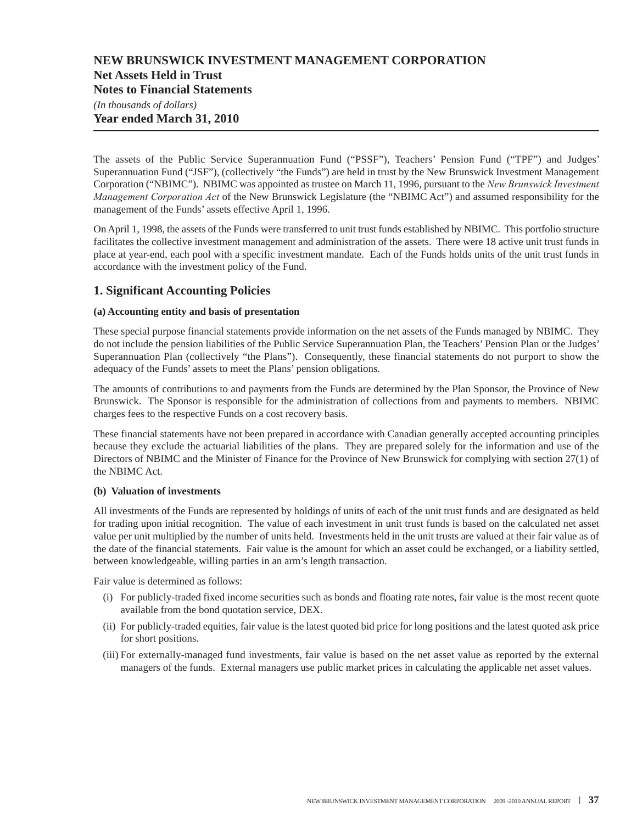#### **Net Assets Held in Trust**

**Notes to Financial Statements**

*(In thousands of dollars)* **Year ended March 31, 2010**

The assets of the Public Service Superannuation Fund ("PSSF"), Teachers' Pension Fund ("TPF") and Judges' Superannuation Fund ("JSF"), (collectively "the Funds") are held in trust by the New Brunswick Investment Management Corporation ("NBIMC"). NBIMC was appointed as trustee on March 11, 1996, pursuant to the *New Brunswick Investment Management Corporation Act* of the New Brunswick Legislature (the "NBIMC Act") and assumed responsibility for the management of the Funds' assets effective April 1, 1996.

On April 1, 1998, the assets of the Funds were transferred to unit trust funds established by NBIMC. This portfolio structure facilitates the collective investment management and administration of the assets. There were 18 active unit trust funds in place at year-end, each pool with a specific investment mandate. Each of the Funds holds units of the unit trust funds in accordance with the investment policy of the Fund.

### **1. Significant Accounting Policies**

#### **(a) Accounting entity and basis of presentation**

These special purpose financial statements provide information on the net assets of the Funds managed by NBIMC. They do not include the pension liabilities of the Public Service Superannuation Plan, the Teachers' Pension Plan or the Judges' Superannuation Plan (collectively "the Plans"). Consequently, these financial statements do not purport to show the adequacy of the Funds' assets to meet the Plans' pension obligations.

The amounts of contributions to and payments from the Funds are determined by the Plan Sponsor, the Province of New Brunswick. The Sponsor is responsible for the administration of collections from and payments to members. NBIMC charges fees to the respective Funds on a cost recovery basis.

These financial statements have not been prepared in accordance with Canadian generally accepted accounting principles because they exclude the actuarial liabilities of the plans. They are prepared solely for the information and use of the Directors of NBIMC and the Minister of Finance for the Province of New Brunswick for complying with section 27(1) of the NBIMC Act.

#### **(b) Valuation of investments**

All investments of the Funds are represented by holdings of units of each of the unit trust funds and are designated as held for trading upon initial recognition. The value of each investment in unit trust funds is based on the calculated net asset value per unit multiplied by the number of units held. Investments held in the unit trusts are valued at their fair value as of the date of the financial statements. Fair value is the amount for which an asset could be exchanged, or a liability settled, between knowledgeable, willing parties in an arm's length transaction.

Fair value is determined as follows:

- (i) For publicly-traded fixed income securities such as bonds and floating rate notes, fair value is the most recent quote available from the bond quotation service, DEX.
- (ii) For publicly-traded equities, fair value is the latest quoted bid price for long positions and the latest quoted ask price for short positions.
- (iii) For externally-managed fund investments, fair value is based on the net asset value as reported by the external managers of the funds. External managers use public market prices in calculating the applicable net asset values.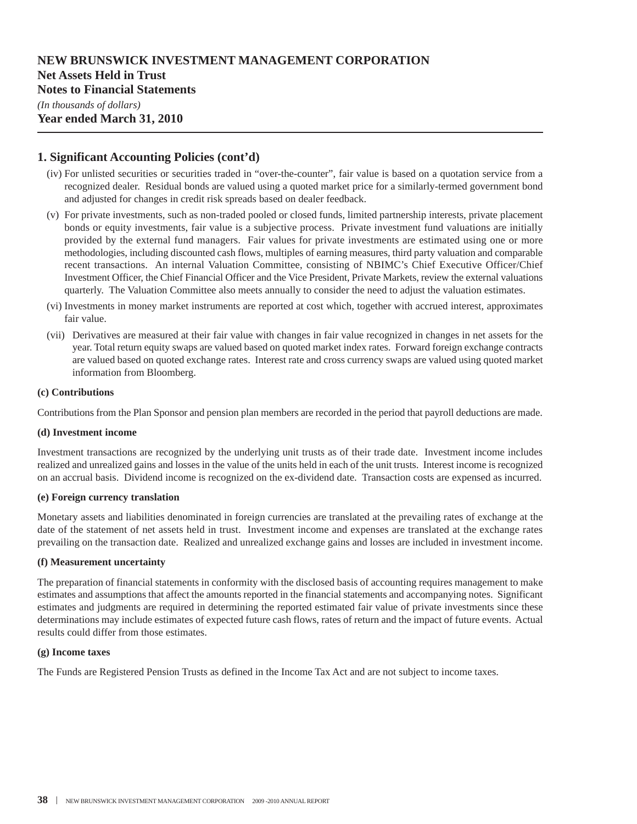### **NEW BRUNSWICK INVESTMENT MANAGEMENT CORPORATION Net Assets Held in Trust Notes to Financial Statements**

#### **1. Significant Accounting Policies (cont'd)**

- (iv) For unlisted securities or securities traded in "over-the-counter", fair value is based on a quotation service from a recognized dealer. Residual bonds are valued using a quoted market price for a similarly-termed government bond and adjusted for changes in credit risk spreads based on dealer feedback.
- (v) For private investments, such as non-traded pooled or closed funds, limited partnership interests, private placement bonds or equity investments, fair value is a subjective process. Private investment fund valuations are initially provided by the external fund managers. Fair values for private investments are estimated using one or more methodologies, including discounted cash flows, multiples of earning measures, third party valuation and comparable recent transactions. An internal Valuation Committee, consisting of NBIMC's Chief Executive Officer/Chief Investment Officer, the Chief Financial Officer and the Vice President, Private Markets, review the external valuations quarterly. The Valuation Committee also meets annually to consider the need to adjust the valuation estimates.
- (vi) Investments in money market instruments are reported at cost which, together with accrued interest, approximates fair value.
- (vii) Derivatives are measured at their fair value with changes in fair value recognized in changes in net assets for the year. Total return equity swaps are valued based on quoted market index rates. Forward foreign exchange contracts are valued based on quoted exchange rates. Interest rate and cross currency swaps are valued using quoted market information from Bloomberg.

#### **(c) Contributions**

Contributions from the Plan Sponsor and pension plan members are recorded in the period that payroll deductions are made.

#### **(d) Investment income**

Investment transactions are recognized by the underlying unit trusts as of their trade date. Investment income includes realized and unrealized gains and losses in the value of the units held in each of the unit trusts. Interest income is recognized on an accrual basis. Dividend income is recognized on the ex-dividend date. Transaction costs are expensed as incurred.

#### **(e) Foreign currency translation**

Monetary assets and liabilities denominated in foreign currencies are translated at the prevailing rates of exchange at the date of the statement of net assets held in trust. Investment income and expenses are translated at the exchange rates prevailing on the transaction date. Realized and unrealized exchange gains and losses are included in investment income.

#### **(f) Measurement uncertainty**

The preparation of financial statements in conformity with the disclosed basis of accounting requires management to make estimates and assumptions that affect the amounts reported in the financial statements and accompanying notes. Significant estimates and judgments are required in determining the reported estimated fair value of private investments since these determinations may include estimates of expected future cash flows, rates of return and the impact of future events. Actual results could differ from those estimates.

#### **(g) Income taxes**

The Funds are Registered Pension Trusts as defined in the Income Tax Act and are not subject to income taxes.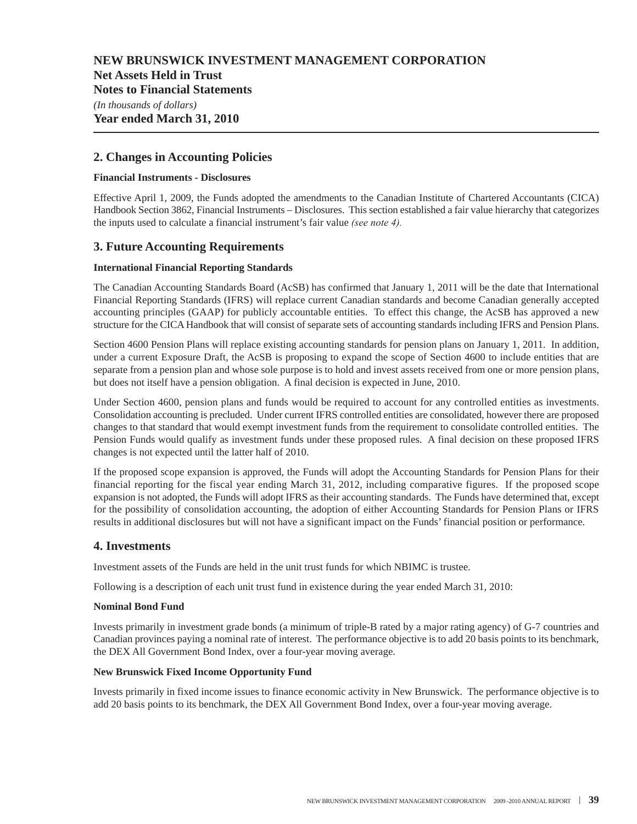**Net Assets Held in Trust**

**Notes to Financial Statements**

*(In thousands of dollars)* **Year ended March 31, 2010**

### **2. Changes in Accounting Policies**

#### **Financial Instruments - Disclosures**

Effective April 1, 2009, the Funds adopted the amendments to the Canadian Institute of Chartered Accountants (CICA) Handbook Section 3862, Financial Instruments – Disclosures. This section established a fair value hierarchy that categorizes the inputs used to calculate a financial instrument's fair value *(see note 4).*

#### **3. Future Accounting Requirements**

#### **International Financial Reporting Standards**

The Canadian Accounting Standards Board (AcSB) has confirmed that January 1, 2011 will be the date that International Financial Reporting Standards (IFRS) will replace current Canadian standards and become Canadian generally accepted accounting principles (GAAP) for publicly accountable entities. To effect this change, the AcSB has approved a new structure for the CICA Handbook that will consist of separate sets of accounting standards including IFRS and Pension Plans.

Section 4600 Pension Plans will replace existing accounting standards for pension plans on January 1, 2011. In addition, under a current Exposure Draft, the AcSB is proposing to expand the scope of Section 4600 to include entities that are separate from a pension plan and whose sole purpose is to hold and invest assets received from one or more pension plans, but does not itself have a pension obligation. A final decision is expected in June, 2010.

Under Section 4600, pension plans and funds would be required to account for any controlled entities as investments. Consolidation accounting is precluded. Under current IFRS controlled entities are consolidated, however there are proposed changes to that standard that would exempt investment funds from the requirement to consolidate controlled entities. The Pension Funds would qualify as investment funds under these proposed rules. A final decision on these proposed IFRS changes is not expected until the latter half of 2010.

If the proposed scope expansion is approved, the Funds will adopt the Accounting Standards for Pension Plans for their financial reporting for the fiscal year ending March 31, 2012, including comparative figures. If the proposed scope expansion is not adopted, the Funds will adopt IFRS as their accounting standards. The Funds have determined that, except for the possibility of consolidation accounting, the adoption of either Accounting Standards for Pension Plans or IFRS results in additional disclosures but will not have a significant impact on the Funds' financial position or performance.

#### **4. Investments**

Investment assets of the Funds are held in the unit trust funds for which NBIMC is trustee.

Following is a description of each unit trust fund in existence during the year ended March 31, 2010:

#### **Nominal Bond Fund**

Invests primarily in investment grade bonds (a minimum of triple-B rated by a major rating agency) of G-7 countries and Canadian provinces paying a nominal rate of interest. The performance objective is to add 20 basis points to its benchmark, the DEX All Government Bond Index, over a four-year moving average.

#### **New Brunswick Fixed Income Opportunity Fund**

Invests primarily in fixed income issues to finance economic activity in New Brunswick. The performance objective is to add 20 basis points to its benchmark, the DEX All Government Bond Index, over a four-year moving average.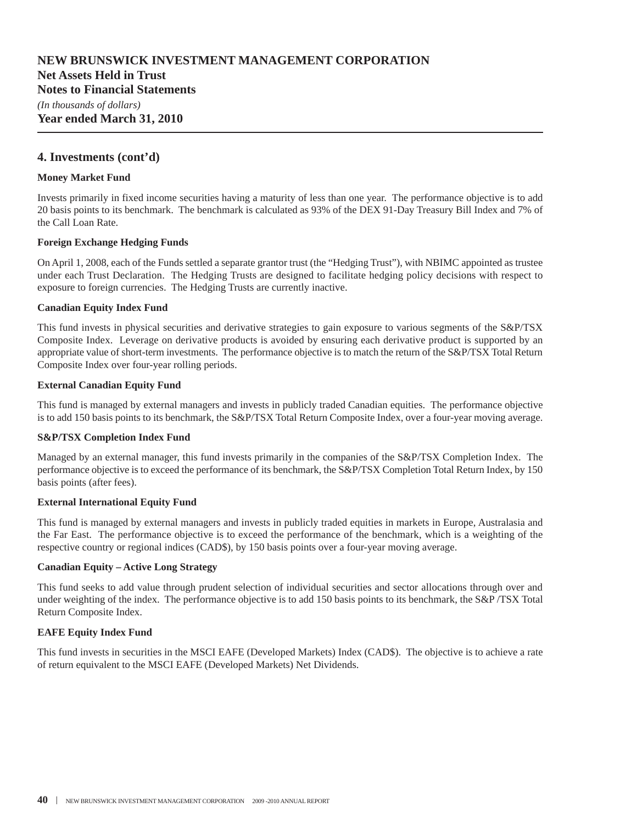### **Net Assets Held in Trust**

**Notes to Financial Statements**

*(In thousands of dollars)* **Year ended March 31, 2010**

#### **4. Investments (cont'd)**

#### **Money Market Fund**

Invests primarily in fixed income securities having a maturity of less than one year. The performance objective is to add 20 basis points to its benchmark. The benchmark is calculated as 93% of the DEX 91-Day Treasury Bill Index and 7% of the Call Loan Rate.

#### **Foreign Exchange Hedging Funds**

On April 1, 2008, each of the Funds settled a separate grantor trust (the "Hedging Trust"), with NBIMC appointed as trustee under each Trust Declaration. The Hedging Trusts are designed to facilitate hedging policy decisions with respect to exposure to foreign currencies. The Hedging Trusts are currently inactive.

#### **Canadian Equity Index Fund**

This fund invests in physical securities and derivative strategies to gain exposure to various segments of the S&P/TSX Composite Index. Leverage on derivative products is avoided by ensuring each derivative product is supported by an appropriate value of short-term investments. The performance objective is to match the return of the S&P/TSX Total Return Composite Index over four-year rolling periods.

#### **External Canadian Equity Fund**

This fund is managed by external managers and invests in publicly traded Canadian equities. The performance objective is to add 150 basis points to its benchmark, the S&P/TSX Total Return Composite Index, over a four-year moving average.

#### **S&P/TSX Completion Index Fund**

Managed by an external manager, this fund invests primarily in the companies of the S&P/TSX Completion Index. The performance objective is to exceed the performance of its benchmark, the S&P/TSX Completion Total Return Index, by 150 basis points (after fees).

#### **External International Equity Fund**

This fund is managed by external managers and invests in publicly traded equities in markets in Europe, Australasia and the Far East. The performance objective is to exceed the performance of the benchmark, which is a weighting of the respective country or regional indices (CAD\$), by 150 basis points over a four-year moving average.

#### **Canadian Equity – Active Long Strategy**

This fund seeks to add value through prudent selection of individual securities and sector allocations through over and under weighting of the index. The performance objective is to add 150 basis points to its benchmark, the S&P/TSX Total Return Composite Index.

#### **EAFE Equity Index Fund**

This fund invests in securities in the MSCI EAFE (Developed Markets) Index (CAD\$). The objective is to achieve a rate of return equivalent to the MSCI EAFE (Developed Markets) Net Dividends.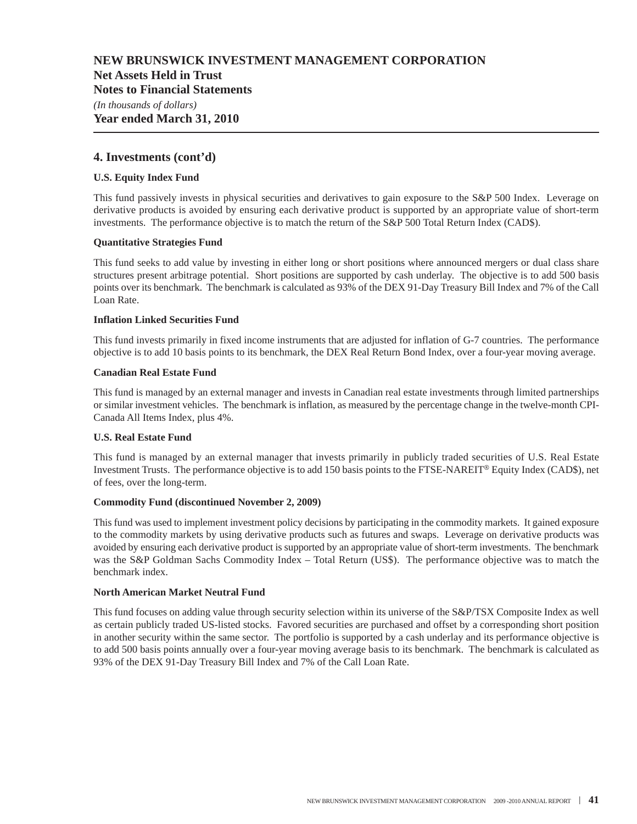#### **Net Assets Held in Trust**

**Notes to Financial Statements**

*(In thousands of dollars)*

### **Year ended March 31, 2010**

#### **4. Investments (cont'd)**

#### **U.S. Equity Index Fund**

This fund passively invests in physical securities and derivatives to gain exposure to the S&P 500 Index. Leverage on derivative products is avoided by ensuring each derivative product is supported by an appropriate value of short-term investments. The performance objective is to match the return of the S&P 500 Total Return Index (CAD\$).

#### **Quantitative Strategies Fund**

This fund seeks to add value by investing in either long or short positions where announced mergers or dual class share structures present arbitrage potential. Short positions are supported by cash underlay. The objective is to add 500 basis points over its benchmark. The benchmark is calculated as 93% of the DEX 91-Day Treasury Bill Index and 7% of the Call Loan Rate.

#### **Inflation Linked Securities Fund**

This fund invests primarily in fixed income instruments that are adjusted for inflation of G-7 countries. The performance objective is to add 10 basis points to its benchmark, the DEX Real Return Bond Index, over a four-year moving average.

#### **Canadian Real Estate Fund**

This fund is managed by an external manager and invests in Canadian real estate investments through limited partnerships or similar investment vehicles. The benchmark is inflation, as measured by the percentage change in the twelve-month CPI-Canada All Items Index, plus 4%.

#### **U.S. Real Estate Fund**

This fund is managed by an external manager that invests primarily in publicly traded securities of U.S. Real Estate Investment Trusts. The performance objective is to add 150 basis points to the FTSE-NAREIT® Equity Index (CAD\$), net of fees, over the long-term.

#### **Commodity Fund (discontinued November 2, 2009)**

This fund was used to implement investment policy decisions by participating in the commodity markets. It gained exposure to the commodity markets by using derivative products such as futures and swaps. Leverage on derivative products was avoided by ensuring each derivative product is supported by an appropriate value of short-term investments. The benchmark was the S&P Goldman Sachs Commodity Index – Total Return (US\$). The performance objective was to match the benchmark index.

#### **North American Market Neutral Fund**

This fund focuses on adding value through security selection within its universe of the S&P/TSX Composite Index as well as certain publicly traded US-listed stocks. Favored securities are purchased and offset by a corresponding short position in another security within the same sector. The portfolio is supported by a cash underlay and its performance objective is to add 500 basis points annually over a four-year moving average basis to its benchmark. The benchmark is calculated as 93% of the DEX 91-Day Treasury Bill Index and 7% of the Call Loan Rate.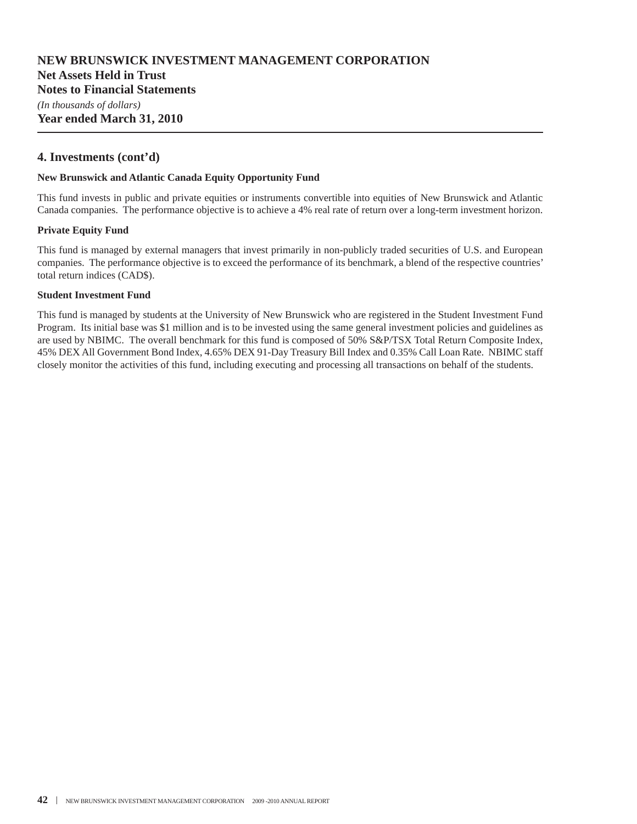### **NEW BRUNSWICK INVESTMENT MANAGEMENT CORPORATION Net Assets Held in Trust Notes to Financial Statements**

*(In thousands of dollars)* **Year ended March 31, 2010**

#### **4. Investments (cont'd)**

#### **New Brunswick and Atlantic Canada Equity Opportunity Fund**

This fund invests in public and private equities or instruments convertible into equities of New Brunswick and Atlantic Canada companies. The performance objective is to achieve a 4% real rate of return over a long-term investment horizon.

#### **Private Equity Fund**

This fund is managed by external managers that invest primarily in non-publicly traded securities of U.S. and European companies. The performance objective is to exceed the performance of its benchmark, a blend of the respective countries' total return indices (CAD\$).

#### **Student Investment Fund**

This fund is managed by students at the University of New Brunswick who are registered in the Student Investment Fund Program. Its initial base was \$1 million and is to be invested using the same general investment policies and guidelines as are used by NBIMC. The overall benchmark for this fund is composed of 50% S&P/TSX Total Return Composite Index, 45% DEX All Government Bond Index, 4.65% DEX 91-Day Treasury Bill Index and 0.35% Call Loan Rate. NBIMC staff closely monitor the activities of this fund, including executing and processing all transactions on behalf of the students.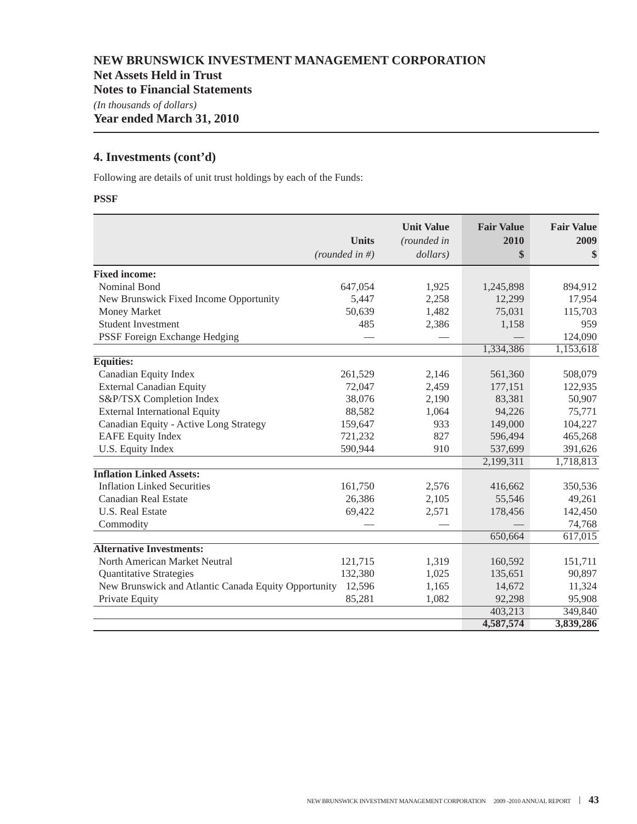### **Net Assets Held in Trust**

**Notes to Financial Statements**

*(In thousands of dollars)*

**Year ended March 31, 2010**

### **4. Investments (cont'd)**

Following are details of unit trust holdings by each of the Funds:

#### **PSSF**

|                                                      | <b>Units</b><br>(rounded in #) | <b>Unit Value</b><br>(rounded in<br>dollars) | <b>Fair Value</b><br>2010<br>\$ | <b>Fair Value</b><br>2009<br>\$ |
|------------------------------------------------------|--------------------------------|----------------------------------------------|---------------------------------|---------------------------------|
| <b>Fixed income:</b>                                 |                                |                                              |                                 |                                 |
| Nominal Bond                                         | 647,054                        | 1,925                                        | 1,245,898                       | 894,912                         |
| New Brunswick Fixed Income Opportunity               | 5,447                          | 2,258                                        | 12,299                          | 17,954                          |
| <b>Money Market</b>                                  | 50,639                         | 1,482                                        | 75,031                          | 115,703                         |
| <b>Student Investment</b>                            | 485                            | 2,386                                        | 1,158                           | 959                             |
| PSSF Foreign Exchange Hedging                        |                                |                                              |                                 | 124,090                         |
|                                                      |                                |                                              | 1,334,386                       | 1,153,618                       |
| Equities:                                            |                                |                                              |                                 |                                 |
| Canadian Equity Index                                | 261,529                        | 2,146                                        | 561,360                         | 508,079                         |
| <b>External Canadian Equity</b>                      | 72,047                         | 2,459                                        | 177,151                         | 122,935                         |
| S&P/TSX Completion Index                             | 38,076                         | 2,190                                        | 83,381                          | 50,907                          |
| <b>External International Equity</b>                 | 88,582                         | 1,064                                        | 94,226                          | 75,771                          |
| Canadian Equity - Active Long Strategy               | 159,647                        | 933                                          | 149,000                         | 104,227                         |
| <b>EAFE Equity Index</b>                             | 721,232                        | 827                                          | 596,494                         | 465,268                         |
| U.S. Equity Index                                    | 590,944                        | 910                                          | 537,699                         | 391,626                         |
|                                                      |                                |                                              | 2,199,311                       | 1,718,813                       |
| <b>Inflation Linked Assets:</b>                      |                                |                                              |                                 |                                 |
| <b>Inflation Linked Securities</b>                   | 161,750                        | 2,576                                        | 416,662                         | 350,536                         |
| <b>Canadian Real Estate</b>                          | 26,386                         | 2,105                                        | 55,546                          | 49,261                          |
| <b>U.S. Real Estate</b>                              | 69,422                         | 2,571                                        | 178,456                         | 142,450                         |
| Commodity                                            |                                |                                              |                                 | 74,768                          |
|                                                      |                                |                                              | 650,664                         | 617,015                         |
| <b>Alternative Investments:</b>                      |                                |                                              |                                 |                                 |
| North American Market Neutral                        | 121,715                        | 1,319                                        | 160,592                         | 151,711                         |
| <b>Quantitative Strategies</b>                       | 132,380                        | 1,025                                        | 135,651                         | 90,897                          |
| New Brunswick and Atlantic Canada Equity Opportunity | 12,596                         | 1,165                                        | 14,672                          | 11,324                          |
| Private Equity                                       | 85,281                         | 1,082                                        | 92,298                          | 95,908                          |
|                                                      |                                |                                              | 403,213                         | 349,840                         |
|                                                      |                                |                                              | 4,587,574                       | 3,839,286                       |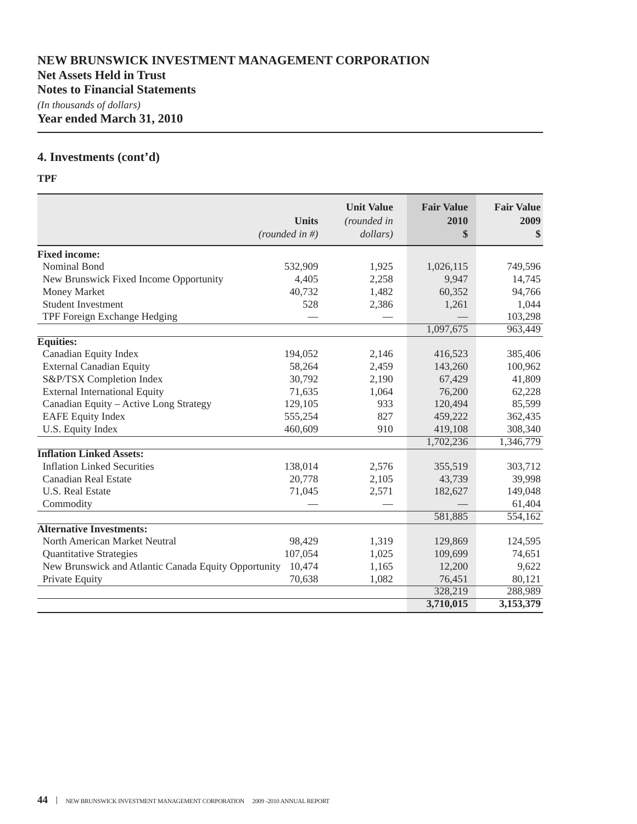### **Net Assets Held in Trust**

**Notes to Financial Statements**

*(In thousands of dollars)* **Year ended March 31, 2010**

## **4. Investments (cont'd)**

#### **TPF**

|                                                      | <b>Units</b><br>(rounded in #) | <b>Unit Value</b><br>(rounded in<br>dollars) | <b>Fair Value</b><br>2010<br>\$ | <b>Fair Value</b><br>2009<br><sup>\$</sup> |
|------------------------------------------------------|--------------------------------|----------------------------------------------|---------------------------------|--------------------------------------------|
| <b>Fixed income:</b>                                 |                                |                                              |                                 |                                            |
| Nominal Bond                                         | 532,909                        | 1,925                                        | 1,026,115                       | 749,596                                    |
| New Brunswick Fixed Income Opportunity               | 4,405                          | 2,258                                        | 9,947                           | 14,745                                     |
| Money Market                                         | 40,732                         | 1,482                                        | 60,352                          | 94,766                                     |
| <b>Student Investment</b>                            | 528                            | 2,386                                        | 1,261                           | 1,044                                      |
| TPF Foreign Exchange Hedging                         |                                |                                              |                                 | 103,298                                    |
|                                                      |                                |                                              | 1,097,675                       | 963,449                                    |
| <b>Equities:</b>                                     |                                |                                              |                                 |                                            |
| Canadian Equity Index                                | 194,052                        | 2,146                                        | 416,523                         | 385,406                                    |
| <b>External Canadian Equity</b>                      | 58,264                         | 2,459                                        | 143,260                         | 100,962                                    |
| S&P/TSX Completion Index                             | 30,792                         | 2,190                                        | 67,429                          | 41,809                                     |
| <b>External International Equity</b>                 | 71,635                         | 1,064                                        | 76,200                          | 62,228                                     |
| Canadian Equity - Active Long Strategy               | 129,105                        | 933                                          | 120,494                         | 85,599                                     |
| <b>EAFE Equity Index</b>                             | 555,254                        | 827                                          | 459,222                         | 362,435                                    |
| U.S. Equity Index                                    | 460,609                        | 910                                          | 419,108                         | 308,340                                    |
|                                                      |                                |                                              | 1,702,236                       | 1,346,779                                  |
| <b>Inflation Linked Assets:</b>                      |                                |                                              |                                 |                                            |
| <b>Inflation Linked Securities</b>                   | 138,014                        | 2,576                                        | 355,519                         | 303,712                                    |
| <b>Canadian Real Estate</b>                          | 20,778                         | 2,105                                        | 43,739                          | 39,998                                     |
| <b>U.S. Real Estate</b>                              | 71,045                         | 2,571                                        | 182,627                         | 149,048                                    |
| Commodity                                            |                                |                                              |                                 | 61,404                                     |
|                                                      |                                |                                              | 581,885                         | 554,162                                    |
| <b>Alternative Investments:</b>                      |                                |                                              |                                 |                                            |
| North American Market Neutral                        | 98,429                         | 1,319                                        | 129,869                         | 124,595                                    |
| <b>Quantitative Strategies</b>                       | 107,054                        | 1,025                                        | 109,699                         | 74,651                                     |
| New Brunswick and Atlantic Canada Equity Opportunity | 10,474                         | 1,165                                        | 12,200                          | 9,622                                      |
| Private Equity                                       | 70,638                         | 1,082                                        | 76,451                          | 80,121                                     |
|                                                      |                                |                                              | 328,219                         | 288,989                                    |
|                                                      |                                |                                              | 3,710,015                       | 3,153,379                                  |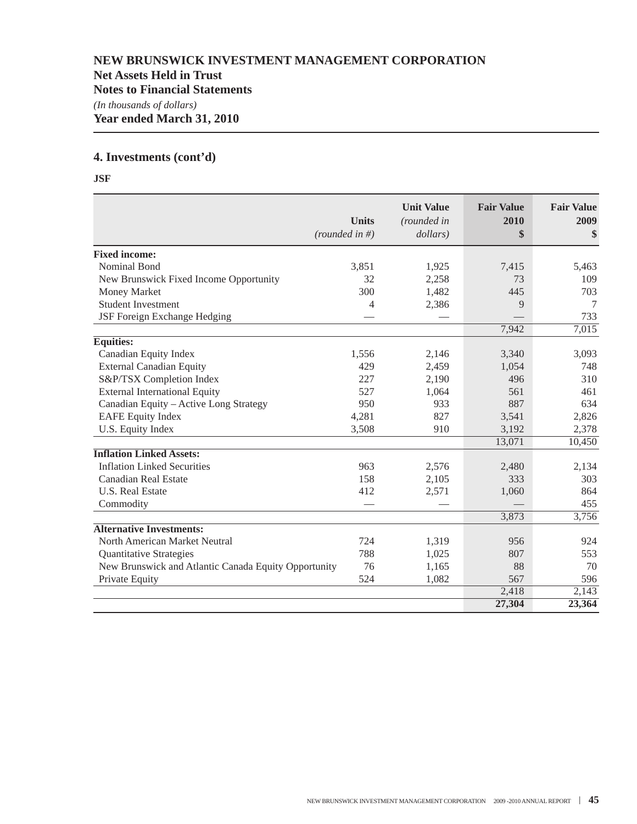### **Net Assets Held in Trust**

**Notes to Financial Statements**

*(In thousands of dollars)*

**Year ended March 31, 2010**

### **4. Investments (cont'd)**

**JSF**

|                                                      |                | <b>Unit Value</b> | <b>Fair Value</b> | <b>Fair Value</b>   |
|------------------------------------------------------|----------------|-------------------|-------------------|---------------------|
|                                                      | <b>Units</b>   | (rounded in       | 2010              | 2009                |
|                                                      | (rounded in #) | dollars)          | \$                | S                   |
| <b>Fixed income:</b>                                 |                |                   |                   |                     |
| Nominal Bond                                         | 3,851          | 1,925             | 7,415             | 5,463               |
| New Brunswick Fixed Income Opportunity               | 32             | 2,258             | 73                | 109                 |
| Money Market                                         | 300            | 1,482             | 445               | 703                 |
| <b>Student Investment</b>                            | 4              | 2,386             | 9                 | 7                   |
| JSF Foreign Exchange Hedging                         |                |                   |                   | 733                 |
|                                                      |                |                   | 7,942             | 7,015               |
| <b>Equities:</b>                                     |                |                   |                   |                     |
| Canadian Equity Index                                | 1,556          | 2,146             | 3,340             | 3,093               |
| <b>External Canadian Equity</b>                      | 429            | 2,459             | 1,054             | 748                 |
| S&P/TSX Completion Index                             | 227            | 2,190             | 496               | 310                 |
| <b>External International Equity</b>                 | 527            | 1,064             | 561               | 461                 |
| Canadian Equity - Active Long Strategy               | 950            | 933               | 887               | 634                 |
| <b>EAFE Equity Index</b>                             | 4,281          | 827               | 3,541             | 2,826               |
| U.S. Equity Index                                    | 3,508          | 910               | 3,192             | 2,378               |
|                                                      |                |                   | 13,071            | 10,450              |
| <b>Inflation Linked Assets:</b>                      |                |                   |                   |                     |
| <b>Inflation Linked Securities</b>                   | 963            | 2,576             | 2,480             | 2,134               |
| Canadian Real Estate                                 | 158            | 2,105             | 333               | 303                 |
| <b>U.S. Real Estate</b>                              | 412            | 2,571             | 1,060             | 864                 |
| Commodity                                            |                |                   |                   | 455                 |
|                                                      |                |                   | 3,873             | 3,756               |
| <b>Alternative Investments:</b>                      |                |                   |                   |                     |
| North American Market Neutral                        | 724            | 1,319             | 956               | 924                 |
| <b>Quantitative Strategies</b>                       | 788            | 1,025             | 807               | 553                 |
| New Brunswick and Atlantic Canada Equity Opportunity | 76             | 1,165             | 88                | 70                  |
| Private Equity                                       | 524            | 1,082             | 567               | 596                 |
|                                                      |                |                   | 2,418             | $\overline{2,1}$ 43 |
|                                                      |                |                   | 27,304            | 23,364              |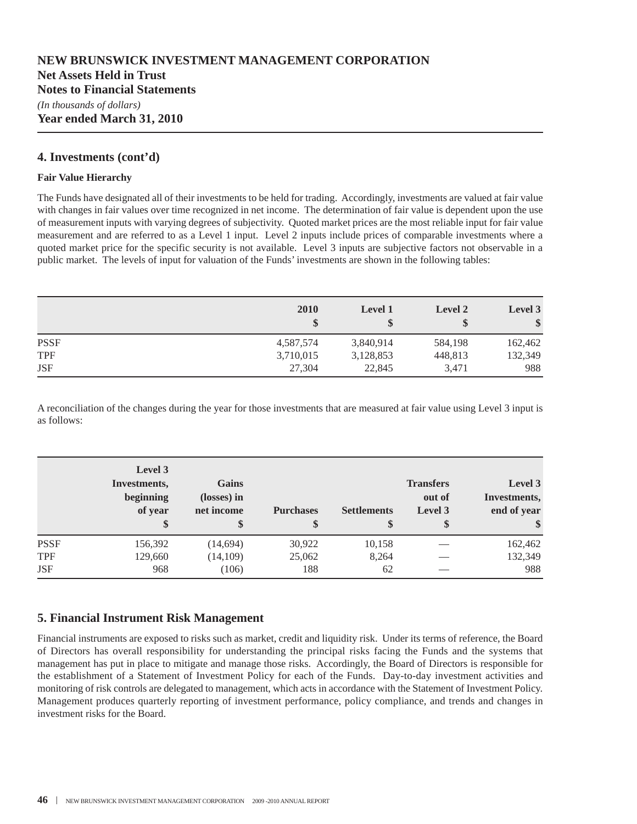**Year ended March 31, 2010**

#### **4. Investments (cont'd)**

#### **Fair Value Hierarchy**

The Funds have designated all of their investments to be held for trading. Accordingly, investments are valued at fair value with changes in fair values over time recognized in net income. The determination of fair value is dependent upon the use of measurement inputs with varying degrees of subjectivity. Quoted market prices are the most reliable input for fair value measurement and are referred to as a Level 1 input. Level 2 inputs include prices of comparable investments where a quoted market price for the specific security is not available. Level 3 inputs are subjective factors not observable in a public market. The levels of input for valuation of the Funds' investments are shown in the following tables:

|             | 2010      | <b>Level 1</b><br>\$ | <b>Level 2</b> | Level 3<br>\$ |
|-------------|-----------|----------------------|----------------|---------------|
| <b>PSSF</b> | 4,587,574 | 3,840,914            | 584,198        | 162,462       |
| <b>TPF</b>  | 3,710,015 | 3,128,853            | 448,813        | 132,349       |
| <b>JSF</b>  | 27,304    | 22,845               | 3,471          | 988           |

A reconciliation of the changes during the year for those investments that are measured at fair value using Level 3 input is as follows:

|             | Level 3<br>Investments,<br>beginning<br>of year | <b>Gains</b><br>(losses) in<br>net income<br>\$ | <b>Purchases</b> | <b>Settlements</b><br>\$ | <b>Transfers</b><br>out of<br>Level 3<br>\$ | Level 3<br>Investments,<br>end of year |
|-------------|-------------------------------------------------|-------------------------------------------------|------------------|--------------------------|---------------------------------------------|----------------------------------------|
| <b>PSSF</b> | 156,392                                         | (14, 694)                                       | 30,922           | 10,158                   |                                             | 162,462                                |
| TPF         | 129,660                                         | (14, 109)                                       | 25,062           | 8,264                    |                                             | 132,349                                |
| <b>JSF</b>  | 968                                             | (106)                                           | 188              | 62                       |                                             | 988                                    |

### **5. Financial Instrument Risk Management**

Financial instruments are exposed to risks such as market, credit and liquidity risk. Under its terms of reference, the Board of Directors has overall responsibility for understanding the principal risks facing the Funds and the systems that management has put in place to mitigate and manage those risks. Accordingly, the Board of Directors is responsible for the establishment of a Statement of Investment Policy for each of the Funds. Day-to-day investment activities and monitoring of risk controls are delegated to management, which acts in accordance with the Statement of Investment Policy. Management produces quarterly reporting of investment performance, policy compliance, and trends and changes in investment risks for the Board.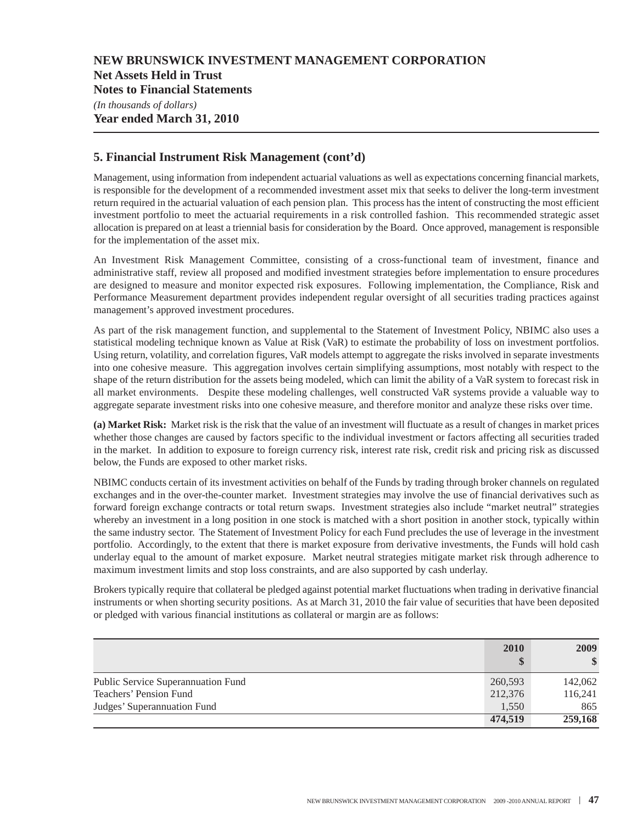**Net Assets Held in Trust**

**Notes to Financial Statements**

*(In thousands of dollars)* **Year ended March 31, 2010**

### **5. Financial Instrument Risk Management (cont'd)**

Management, using information from independent actuarial valuations as well as expectations concerning financial markets, is responsible for the development of a recommended investment asset mix that seeks to deliver the long-term investment return required in the actuarial valuation of each pension plan. This process has the intent of constructing the most efficient investment portfolio to meet the actuarial requirements in a risk controlled fashion. This recommended strategic asset allocation is prepared on at least a triennial basis for consideration by the Board. Once approved, management is responsible for the implementation of the asset mix.

An Investment Risk Management Committee, consisting of a cross-functional team of investment, finance and administrative staff, review all proposed and modified investment strategies before implementation to ensure procedures are designed to measure and monitor expected risk exposures. Following implementation, the Compliance, Risk and Performance Measurement department provides independent regular oversight of all securities trading practices against management's approved investment procedures.

As part of the risk management function, and supplemental to the Statement of Investment Policy, NBIMC also uses a statistical modeling technique known as Value at Risk (VaR) to estimate the probability of loss on investment portfolios. Using return, volatility, and correlation figures, VaR models attempt to aggregate the risks involved in separate investments into one cohesive measure. This aggregation involves certain simplifying assumptions, most notably with respect to the shape of the return distribution for the assets being modeled, which can limit the ability of a VaR system to forecast risk in all market environments. Despite these modeling challenges, well constructed VaR systems provide a valuable way to aggregate separate investment risks into one cohesive measure, and therefore monitor and analyze these risks over time.

**(a) Market Risk:** Market risk is the risk that the value of an investment will fluctuate as a result of changes in market prices whether those changes are caused by factors specific to the individual investment or factors affecting all securities traded in the market. In addition to exposure to foreign currency risk, interest rate risk, credit risk and pricing risk as discussed below, the Funds are exposed to other market risks.

NBIMC conducts certain of its investment activities on behalf of the Funds by trading through broker channels on regulated exchanges and in the over-the-counter market. Investment strategies may involve the use of financial derivatives such as forward foreign exchange contracts or total return swaps. Investment strategies also include "market neutral" strategies whereby an investment in a long position in one stock is matched with a short position in another stock, typically within the same industry sector. The Statement of Investment Policy for each Fund precludes the use of leverage in the investment portfolio. Accordingly, to the extent that there is market exposure from derivative investments, the Funds will hold cash underlay equal to the amount of market exposure. Market neutral strategies mitigate market risk through adherence to maximum investment limits and stop loss constraints, and are also supported by cash underlay.

Brokers typically require that collateral be pledged against potential market fluctuations when trading in derivative financial instruments or when shorting security positions. As at March 31, 2010 the fair value of securities that have been deposited or pledged with various financial institutions as collateral or margin are as follows:

|                                    | 2010<br>\$ | 2009<br>$\$\$ |
|------------------------------------|------------|---------------|
| Public Service Superannuation Fund | 260,593    | 142,062       |
| Teachers' Pension Fund             | 212,376    | 116,241       |
| Judges' Superannuation Fund        | 1,550      | 865           |
|                                    | 474,519    | 259,168       |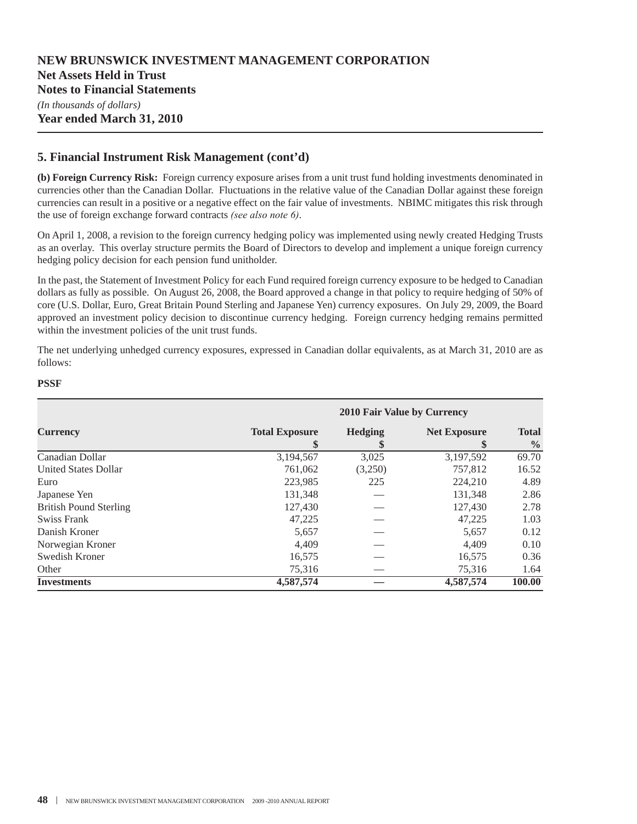### **5. Financial Instrument Risk Management (cont'd)**

**(b) Foreign Currency Risk:** Foreign currency exposure arises from a unit trust fund holding investments denominated in currencies other than the Canadian Dollar. Fluctuations in the relative value of the Canadian Dollar against these foreign currencies can result in a positive or a negative effect on the fair value of investments. NBIMC mitigates this risk through the use of foreign exchange forward contracts *(see also note 6)*.

On April 1, 2008, a revision to the foreign currency hedging policy was implemented using newly created Hedging Trusts as an overlay. This overlay structure permits the Board of Directors to develop and implement a unique foreign currency hedging policy decision for each pension fund unitholder.

In the past, the Statement of Investment Policy for each Fund required foreign currency exposure to be hedged to Canadian dollars as fully as possible. On August 26, 2008, the Board approved a change in that policy to require hedging of 50% of core (U.S. Dollar, Euro, Great Britain Pound Sterling and Japanese Yen) currency exposures. On July 29, 2009, the Board approved an investment policy decision to discontinue currency hedging. Foreign currency hedging remains permitted within the investment policies of the unit trust funds.

The net underlying unhedged currency exposures, expressed in Canadian dollar equivalents, as at March 31, 2010 are as follows:

#### **PSSF**

|                               | 2010 Fair Value by Currency |                     |                           |                               |  |
|-------------------------------|-----------------------------|---------------------|---------------------------|-------------------------------|--|
| <b>Currency</b>               | <b>Total Exposure</b><br>\$ | <b>Hedging</b><br>Φ | <b>Net Exposure</b><br>\$ | <b>Total</b><br>$\frac{6}{9}$ |  |
| Canadian Dollar               | 3,194,567                   | 3,025               | 3,197,592                 | 69.70                         |  |
| <b>United States Dollar</b>   | 761,062                     | (3,250)             | 757,812                   | 16.52                         |  |
| Euro                          | 223,985                     | 225                 | 224,210                   | 4.89                          |  |
| Japanese Yen                  | 131,348                     |                     | 131.348                   | 2.86                          |  |
| <b>British Pound Sterling</b> | 127,430                     |                     | 127,430                   | 2.78                          |  |
| Swiss Frank                   | 47,225                      |                     | 47,225                    | 1.03                          |  |
| Danish Kroner                 | 5,657                       |                     | 5,657                     | 0.12                          |  |
| Norwegian Kroner              | 4.409                       |                     | 4.409                     | 0.10                          |  |
| Swedish Kroner                | 16,575                      |                     | 16,575                    | 0.36                          |  |
| Other                         | 75,316                      |                     | 75,316                    | 1.64                          |  |
| <b>Investments</b>            | 4,587,574                   |                     | 4,587,574                 | 100.00                        |  |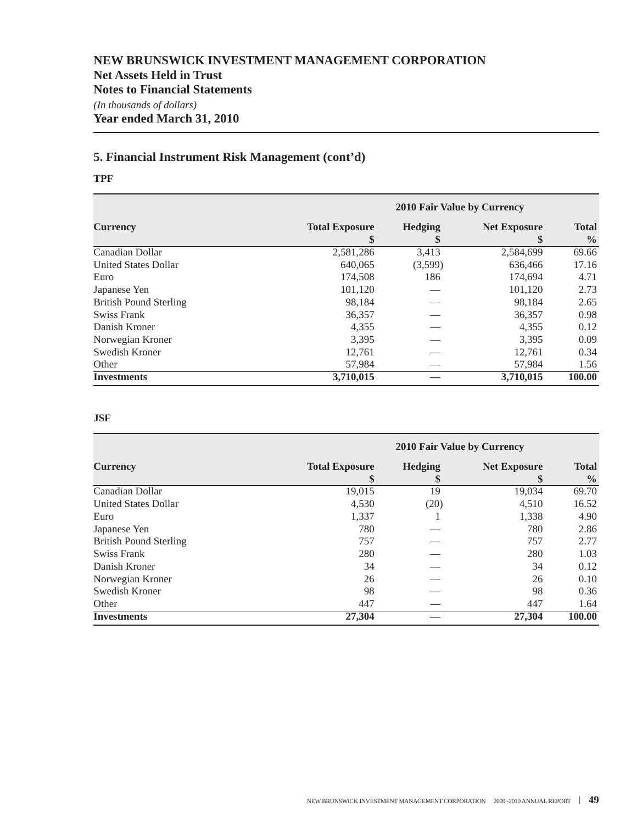### **5. Financial Instrument Risk Management (cont'd)**

#### **TPF**

|                               | 2010 Fair Value by Currency |         |                     |                               |  |
|-------------------------------|-----------------------------|---------|---------------------|-------------------------------|--|
| <b>Currency</b>               | <b>Total Exposure</b><br>\$ | Hedging | <b>Net Exposure</b> | <b>Total</b><br>$\frac{6}{9}$ |  |
| Canadian Dollar               | 2,581,286                   | 3,413   | 2,584,699           | 69.66                         |  |
| <b>United States Dollar</b>   | 640.065                     | (3,599) | 636,466             | 17.16                         |  |
| Euro                          | 174,508                     | 186     | 174.694             | 4.71                          |  |
| Japanese Yen                  | 101,120                     |         | 101,120             | 2.73                          |  |
| <b>British Pound Sterling</b> | 98,184                      |         | 98,184              | 2.65                          |  |
| Swiss Frank                   | 36,357                      |         | 36,357              | 0.98                          |  |
| Danish Kroner                 | 4,355                       |         | 4,355               | 0.12                          |  |
| Norwegian Kroner              | 3.395                       |         | 3.395               | 0.09                          |  |
| Swedish Kroner                | 12,761                      |         | 12,761              | 0.34                          |  |
| Other                         | 57,984                      |         | 57,984              | 1.56                          |  |
| <b>Investments</b>            | 3,710,015                   |         | 3,710,015           | 100.00                        |  |

#### **JSF**

|                               | 2010 Fair Value by Currency |                      |                     |                               |  |
|-------------------------------|-----------------------------|----------------------|---------------------|-------------------------------|--|
| <b>Currency</b>               | <b>Total Exposure</b>       | <b>Hedging</b><br>\$ | <b>Net Exposure</b> | <b>Total</b><br>$\frac{6}{6}$ |  |
| Canadian Dollar               | 19,015                      | 19                   | 19,034              | 69.70                         |  |
| <b>United States Dollar</b>   | 4,530                       | (20)                 | 4,510               | 16.52                         |  |
| Euro                          | 1,337                       |                      | 1,338               | 4.90                          |  |
| Japanese Yen                  | 780                         |                      | 780                 | 2.86                          |  |
| <b>British Pound Sterling</b> | 757                         |                      | 757                 | 2.77                          |  |
| Swiss Frank                   | 280                         |                      | 280                 | 1.03                          |  |
| Danish Kroner                 | 34                          |                      | 34                  | 0.12                          |  |
| Norwegian Kroner              | 26                          |                      | 26                  | 0.10                          |  |
| Swedish Kroner                | 98                          |                      | 98                  | 0.36                          |  |
| Other                         | 447                         |                      | 447                 | 1.64                          |  |
| <b>Investments</b>            | 27,304                      |                      | 27,304              | 100.00                        |  |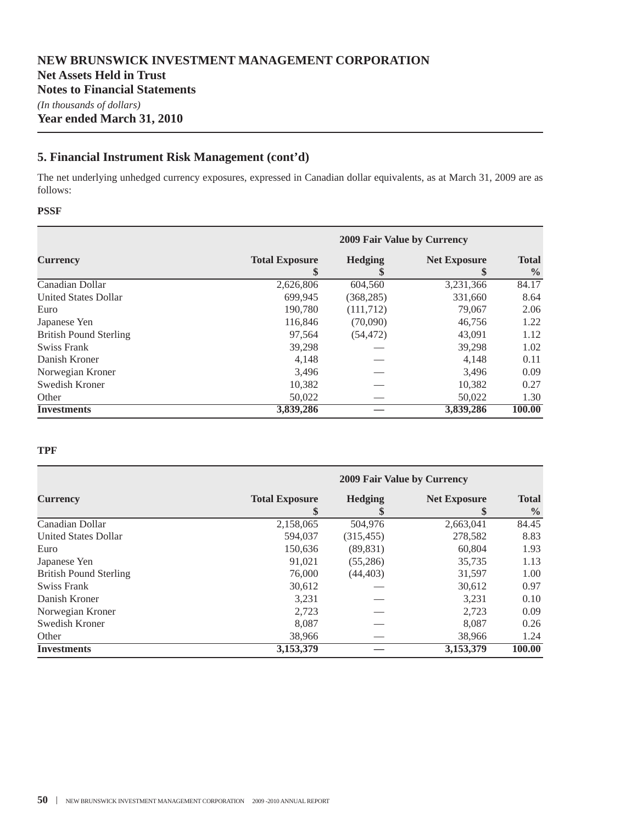**Year ended March 31, 2010**

### **5. Financial Instrument Risk Management (cont'd)**

The net underlying unhedged currency exposures, expressed in Canadian dollar equivalents, as at March 31, 2009 are as follows:

#### **PSSF**

|                               | 2009 Fair Value by Currency |                      |                           |                               |  |
|-------------------------------|-----------------------------|----------------------|---------------------------|-------------------------------|--|
| <b>Currency</b>               | <b>Total Exposure</b><br>\$ | <b>Hedging</b><br>\$ | <b>Net Exposure</b><br>\$ | <b>Total</b><br>$\frac{0}{0}$ |  |
| Canadian Dollar               | 2,626,806                   | 604,560              | 3,231,366                 | 84.17                         |  |
| <b>United States Dollar</b>   | 699.945                     | (368, 285)           | 331,660                   | 8.64                          |  |
| Euro                          | 190.780                     | (111, 712)           | 79,067                    | 2.06                          |  |
| Japanese Yen                  | 116,846                     | (70,090)             | 46,756                    | 1.22                          |  |
| <b>British Pound Sterling</b> | 97,564                      | (54, 472)            | 43,091                    | 1.12                          |  |
| Swiss Frank                   | 39,298                      |                      | 39,298                    | 1.02                          |  |
| Danish Kroner                 | 4,148                       |                      | 4,148                     | 0.11                          |  |
| Norwegian Kroner              | 3,496                       |                      | 3.496                     | 0.09                          |  |
| Swedish Kroner                | 10,382                      |                      | 10,382                    | 0.27                          |  |
| Other                         | 50,022                      |                      | 50,022                    | 1.30                          |  |
| <b>Investments</b>            | 3,839,286                   |                      | 3,839,286                 | 100.00                        |  |

#### **TPF**

|                               | 2009 Fair Value by Currency |                     |                     |                               |  |  |
|-------------------------------|-----------------------------|---------------------|---------------------|-------------------------------|--|--|
| <b>Currency</b>               | <b>Total Exposure</b><br>\$ | <b>Hedging</b><br>Φ | <b>Net Exposure</b> | <b>Total</b><br>$\frac{6}{9}$ |  |  |
| Canadian Dollar               | 2,158,065                   | 504,976             | 2,663,041           | 84.45                         |  |  |
| <b>United States Dollar</b>   | 594,037                     | (315, 455)          | 278,582             | 8.83                          |  |  |
| Euro                          | 150,636                     | (89, 831)           | 60.804              | 1.93                          |  |  |
| Japanese Yen                  | 91,021                      | (55, 286)           | 35,735              | 1.13                          |  |  |
| <b>British Pound Sterling</b> | 76,000                      | (44, 403)           | 31,597              | 1.00                          |  |  |
| Swiss Frank                   | 30,612                      |                     | 30,612              | 0.97                          |  |  |
| Danish Kroner                 | 3.231                       |                     | 3.231               | 0.10                          |  |  |
| Norwegian Kroner              | 2,723                       |                     | 2.723               | 0.09                          |  |  |
| Swedish Kroner                | 8.087                       |                     | 8.087               | 0.26                          |  |  |
| Other                         | 38,966                      |                     | 38.966              | 1.24                          |  |  |
| <b>Investments</b>            | 3,153,379                   |                     | 3,153,379           | 100.00                        |  |  |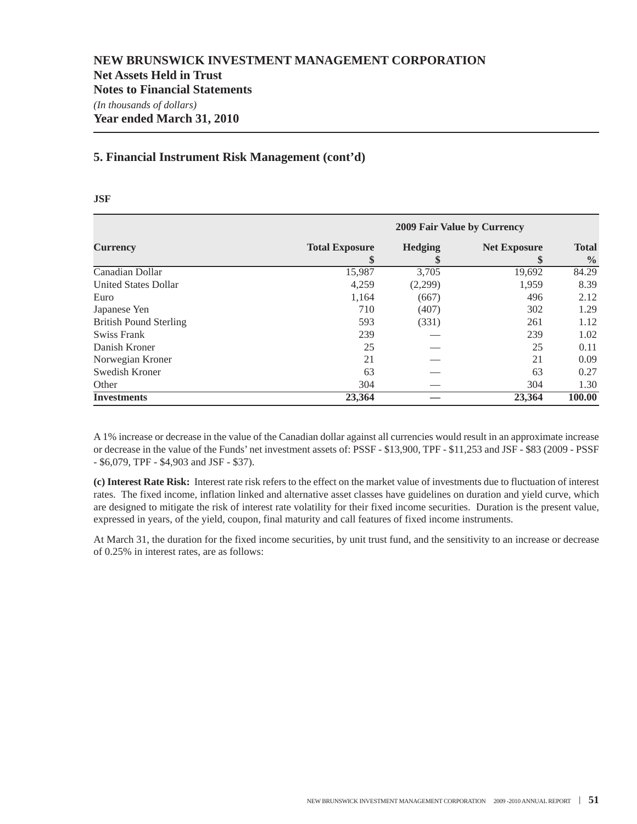### **5. Financial Instrument Risk Management (cont'd)**

| ۰,<br>×<br>I<br>×<br>v<br>۰.<br>۰. |
|------------------------------------|
|------------------------------------|

|                               |                       |         | 2009 Fair Value by Currency |               |  |  |  |  |  |
|-------------------------------|-----------------------|---------|-----------------------------|---------------|--|--|--|--|--|
| <b>Currency</b>               | <b>Total Exposure</b> | Hedging | <b>Net Exposure</b>         | <b>Total</b>  |  |  |  |  |  |
|                               | \$                    | \$      | \$                          | $\frac{0}{0}$ |  |  |  |  |  |
| Canadian Dollar               | 15,987                | 3,705   | 19,692                      | 84.29         |  |  |  |  |  |
| <b>United States Dollar</b>   | 4,259                 | (2,299) | 1,959                       | 8.39          |  |  |  |  |  |
| Euro                          | 1,164                 | (667)   | 496                         | 2.12          |  |  |  |  |  |
| Japanese Yen                  | 710                   | (407)   | 302                         | 1.29          |  |  |  |  |  |
| <b>British Pound Sterling</b> | 593                   | (331)   | 261                         | 1.12          |  |  |  |  |  |
| Swiss Frank                   | 239                   |         | 239                         | 1.02          |  |  |  |  |  |
| Danish Kroner                 | 25                    |         | 25                          | 0.11          |  |  |  |  |  |
| Norwegian Kroner              | 21                    |         | 21                          | 0.09          |  |  |  |  |  |
| Swedish Kroner                | 63                    |         | 63                          | 0.27          |  |  |  |  |  |
| Other                         | 304                   |         | 304                         | 1.30          |  |  |  |  |  |
| <b>Investments</b>            | 23,364                |         | 23,364                      | 100.00        |  |  |  |  |  |

A 1% increase or decrease in the value of the Canadian dollar against all currencies would result in an approximate increase or decrease in the value of the Funds' net investment assets of: PSSF - \$13,900, TPF - \$11,253 and JSF - \$83 (2009 - PSSF - \$6,079, TPF - \$4,903 and JSF - \$37).

**(c) Interest Rate Risk:** Interest rate risk refers to the effect on the market value of investments due to fluctuation of interest rates. The fixed income, inflation linked and alternative asset classes have guidelines on duration and yield curve, which are designed to mitigate the risk of interest rate volatility for their fixed income securities. Duration is the present value, expressed in years, of the yield, coupon, final maturity and call features of fixed income instruments.

At March 31, the duration for the fixed income securities, by unit trust fund, and the sensitivity to an increase or decrease of 0.25% in interest rates, are as follows: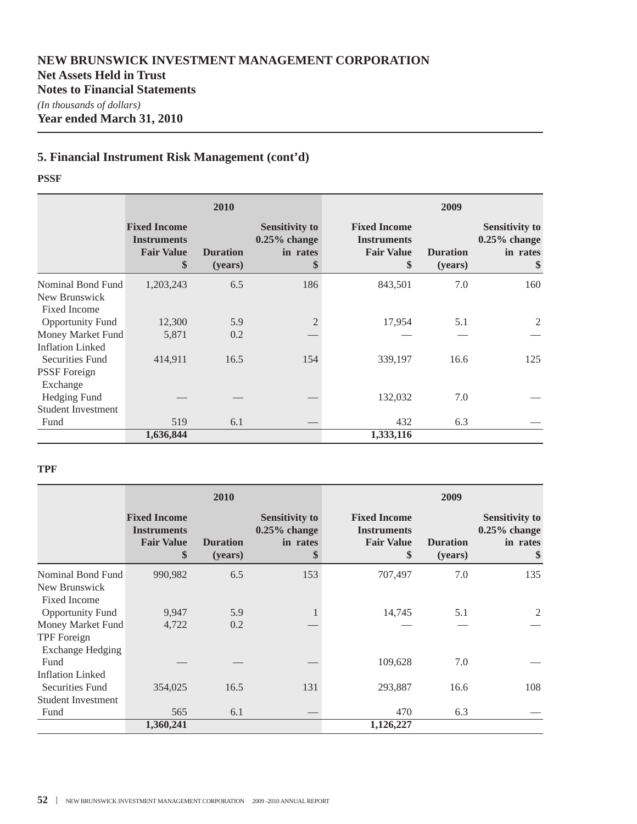### **5. Financial Instrument Risk Management (cont'd)**

#### **PSSF**

|                                                                     |                                                                      | 2010                       |                                                            | 2009                                                                 |                            |                                                            |  |
|---------------------------------------------------------------------|----------------------------------------------------------------------|----------------------------|------------------------------------------------------------|----------------------------------------------------------------------|----------------------------|------------------------------------------------------------|--|
|                                                                     | <b>Fixed Income</b><br><b>Instruments</b><br><b>Fair Value</b><br>\$ | <b>Duration</b><br>(years) | <b>Sensitivity to</b><br>$0.25\%$ change<br>in rates<br>\$ | <b>Fixed Income</b><br><b>Instruments</b><br><b>Fair Value</b><br>\$ | <b>Duration</b><br>(years) | <b>Sensitivity to</b><br>$0.25\%$ change<br>in rates<br>\$ |  |
| Nominal Bond Fund<br>New Brunswick                                  | 1,203,243                                                            | 6.5                        | 186                                                        | 843,501                                                              | 7.0                        | 160                                                        |  |
| <b>Fixed Income</b><br><b>Opportunity Fund</b><br>Money Market Fund | 12,300<br>5,871                                                      | 5.9<br>0.2                 |                                                            | 17,954                                                               | 5.1                        | 2                                                          |  |
| <b>Inflation Linked</b><br>Securities Fund                          | 414,911                                                              | 16.5                       | 154                                                        | 339,197                                                              | 16.6                       | 125                                                        |  |
| <b>PSSF</b> Foreign<br>Exchange                                     |                                                                      |                            |                                                            |                                                                      |                            |                                                            |  |
| Hedging Fund<br><b>Student Investment</b>                           |                                                                      |                            |                                                            | 132,032                                                              | 7.0                        |                                                            |  |
| Fund                                                                | 519                                                                  | 6.1                        |                                                            | 432                                                                  | 6.3                        |                                                            |  |
|                                                                     | 1,636,844                                                            |                            |                                                            | 1,333,116                                                            |                            |                                                            |  |

#### **TPF**

|                                         |                                                                      | 2010                       |                                                            | 2009                                                                 |                            |                                                            |  |
|-----------------------------------------|----------------------------------------------------------------------|----------------------------|------------------------------------------------------------|----------------------------------------------------------------------|----------------------------|------------------------------------------------------------|--|
|                                         | <b>Fixed Income</b><br><b>Instruments</b><br><b>Fair Value</b><br>\$ | <b>Duration</b><br>(years) | <b>Sensitivity to</b><br>$0.25\%$ change<br>in rates<br>\$ | <b>Fixed Income</b><br><b>Instruments</b><br><b>Fair Value</b><br>\$ | <b>Duration</b><br>(years) | <b>Sensitivity to</b><br>$0.25\%$ change<br>in rates<br>\$ |  |
| Nominal Bond Fund                       | 990,982                                                              | 6.5                        | 153                                                        | 707,497                                                              | 7.0                        | 135                                                        |  |
| New Brunswick<br><b>Fixed Income</b>    |                                                                      |                            |                                                            |                                                                      |                            |                                                            |  |
| <b>Opportunity Fund</b>                 | 9,947                                                                | 5.9                        |                                                            | 14,745                                                               | 5.1                        | 2                                                          |  |
| Money Market Fund<br><b>TPF</b> Foreign | 4,722                                                                | 0.2                        |                                                            |                                                                      |                            |                                                            |  |
| <b>Exchange Hedging</b>                 |                                                                      |                            |                                                            |                                                                      |                            |                                                            |  |
| Fund<br><b>Inflation Linked</b>         |                                                                      |                            |                                                            | 109,628                                                              | 7.0                        |                                                            |  |
| Securities Fund                         | 354,025                                                              | 16.5                       | 131                                                        | 293,887                                                              | 16.6                       | 108                                                        |  |
| <b>Student Investment</b>               |                                                                      |                            |                                                            |                                                                      |                            |                                                            |  |
| Fund                                    | 565                                                                  | 6.1                        |                                                            | 470                                                                  | 6.3                        |                                                            |  |
|                                         | 1,360,241                                                            |                            |                                                            | 1,126,227                                                            |                            |                                                            |  |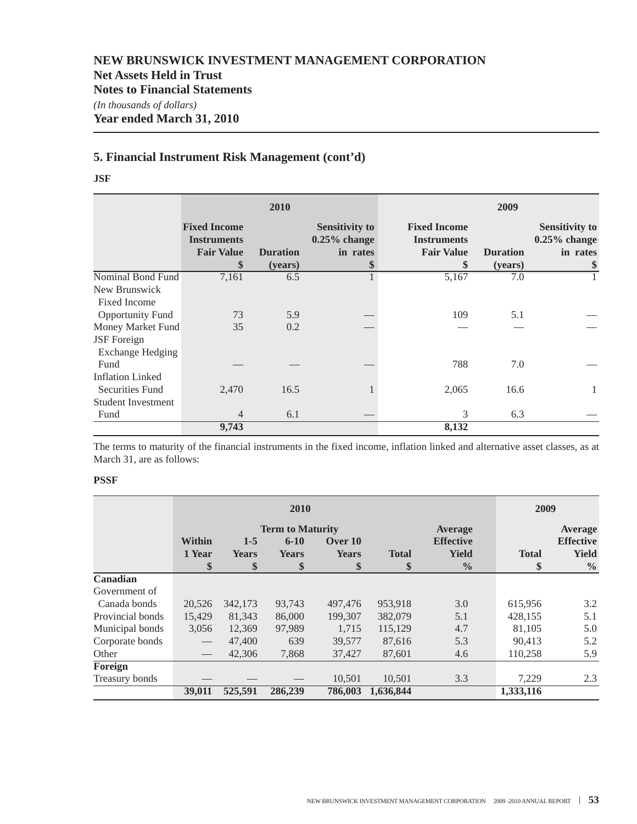### **5. Financial Instrument Risk Management (cont'd)**

**JSF**

|                           |                                                                | 2010                       |                                                            | 2009                                                                 |                            |                                                            |  |  |
|---------------------------|----------------------------------------------------------------|----------------------------|------------------------------------------------------------|----------------------------------------------------------------------|----------------------------|------------------------------------------------------------|--|--|
|                           | <b>Fixed Income</b><br><b>Instruments</b><br><b>Fair Value</b> | <b>Duration</b><br>(years) | <b>Sensitivity to</b><br>$0.25\%$ change<br>in rates<br>\$ | <b>Fixed Income</b><br><b>Instruments</b><br><b>Fair Value</b><br>\$ | <b>Duration</b><br>(years) | <b>Sensitivity to</b><br>$0.25\%$ change<br>in rates<br>\$ |  |  |
| Nominal Bond Fund         | 7,161                                                          | 6.5                        |                                                            | 5,167                                                                | 7.0                        |                                                            |  |  |
| New Brunswick             |                                                                |                            |                                                            |                                                                      |                            |                                                            |  |  |
| <b>Fixed Income</b>       |                                                                |                            |                                                            |                                                                      |                            |                                                            |  |  |
| <b>Opportunity Fund</b>   | 73                                                             | 5.9                        |                                                            | 109                                                                  | 5.1                        |                                                            |  |  |
| Money Market Fund         | 35                                                             | 0.2                        |                                                            |                                                                      |                            |                                                            |  |  |
| <b>JSF</b> Foreign        |                                                                |                            |                                                            |                                                                      |                            |                                                            |  |  |
| <b>Exchange Hedging</b>   |                                                                |                            |                                                            |                                                                      |                            |                                                            |  |  |
| Fund                      |                                                                |                            |                                                            | 788                                                                  | 7.0                        |                                                            |  |  |
| <b>Inflation Linked</b>   |                                                                |                            |                                                            |                                                                      |                            |                                                            |  |  |
| Securities Fund           | 2,470                                                          | 16.5                       |                                                            | 2,065                                                                | 16.6                       |                                                            |  |  |
| <b>Student Investment</b> |                                                                |                            |                                                            |                                                                      |                            |                                                            |  |  |
| Fund                      | $\overline{4}$                                                 | 6.1                        |                                                            | 3                                                                    | 6.3                        |                                                            |  |  |
|                           | 9,743                                                          |                            |                                                            | 8,132                                                                |                            |                                                            |  |  |

The terms to maturity of the financial instruments in the fixed income, inflation linked and alternative asset classes, as at March 31, are as follows:

#### **PSSF**

|                  |                                 | 2010         |                         |              |              |                  |              | 2009             |  |
|------------------|---------------------------------|--------------|-------------------------|--------------|--------------|------------------|--------------|------------------|--|
|                  |                                 |              | <b>Term to Maturity</b> |              |              | <b>Average</b>   |              | Average          |  |
|                  | <b>Within</b>                   | $1 - 5$      | $6 - 10$                | Over 10      |              | <b>Effective</b> |              | <b>Effective</b> |  |
|                  | 1 Year                          | <b>Years</b> | <b>Years</b>            | <b>Years</b> | <b>Total</b> | <b>Yield</b>     | <b>Total</b> | <b>Yield</b>     |  |
|                  | \$                              | \$           | \$                      | \$           | \$           | $\frac{0}{0}$    | \$           | $\frac{0}{0}$    |  |
| Canadian         |                                 |              |                         |              |              |                  |              |                  |  |
| Government of    |                                 |              |                         |              |              |                  |              |                  |  |
| Canada bonds     | 20,526                          | 342,173      | 93,743                  | 497,476      | 953,918      | 3.0              | 615,956      | 3.2              |  |
| Provincial bonds | 15,429                          | 81,343       | 86,000                  | 199,307      | 382,079      | 5.1              | 428,155      | 5.1              |  |
| Municipal bonds  | 3,056                           | 12,369       | 97.989                  | 1.715        | 115,129      | 4.7              | 81,105       | 5.0              |  |
| Corporate bonds  | $\hspace{0.1mm}-\hspace{0.1mm}$ | 47,400       | 639                     | 39,577       | 87.616       | 5.3              | 90.413       | 5.2              |  |
| Other            |                                 | 42,306       | 7,868                   | 37,427       | 87,601       | 4.6              | 110,258      | 5.9              |  |
| Foreign          |                                 |              |                         |              |              |                  |              |                  |  |
| Treasury bonds   |                                 |              |                         | 10,501       | 10,501       | 3.3              | 7,229        | 2.3              |  |
|                  | 39,011                          | 525.591      | 286,239                 | 786,003      | 1,636,844    |                  | 1,333,116    |                  |  |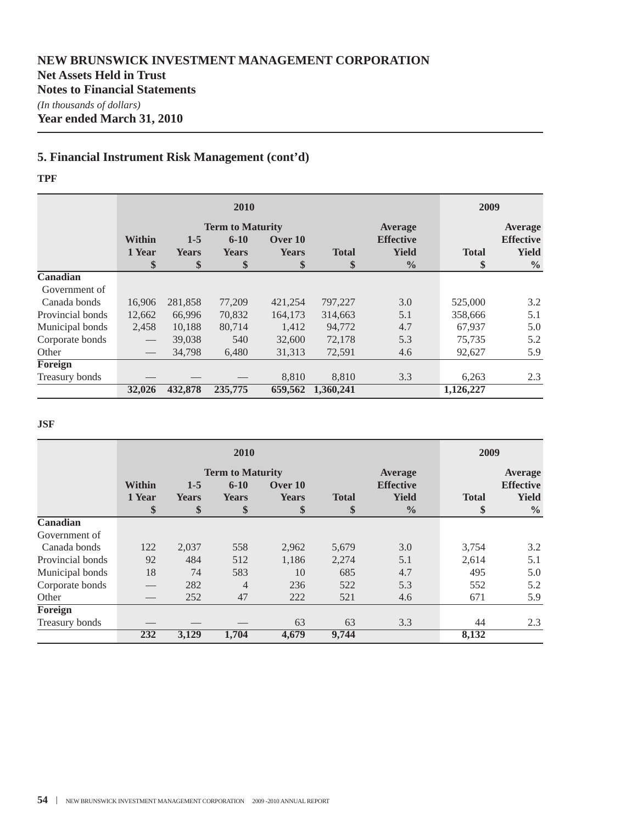### **5. Financial Instrument Risk Management (cont'd)**

#### **TPF**

|                  |                               | 2010         |                         |              |              |                  |              | 2009             |  |
|------------------|-------------------------------|--------------|-------------------------|--------------|--------------|------------------|--------------|------------------|--|
|                  |                               |              | <b>Term to Maturity</b> |              |              | <b>Average</b>   |              | <b>Average</b>   |  |
|                  | <b>Within</b>                 | $1 - 5$      | $6 - 10$                | Over 10      |              | <b>Effective</b> |              | <b>Effective</b> |  |
|                  | 1 Year                        | <b>Years</b> | <b>Years</b>            | <b>Years</b> | <b>Total</b> | <b>Yield</b>     | <b>Total</b> | <b>Yield</b>     |  |
|                  | \$                            | \$           | \$                      | \$           | \$           | $\frac{6}{9}$    | \$           | $\frac{0}{0}$    |  |
| Canadian         |                               |              |                         |              |              |                  |              |                  |  |
| Government of    |                               |              |                         |              |              |                  |              |                  |  |
| Canada bonds     | 16,906                        | 281,858      | 77,209                  | 421,254      | 797,227      | 3.0              | 525,000      | 3.2              |  |
| Provincial bonds | 12,662                        | 66.996       | 70,832                  | 164,173      | 314,663      | 5.1              | 358,666      | 5.1              |  |
| Municipal bonds  | 2,458                         | 10,188       | 80,714                  | 1,412        | 94,772       | 4.7              | 67,937       | 5.0              |  |
| Corporate bonds  |                               | 39,038       | 540                     | 32,600       | 72,178       | 5.3              | 75,735       | 5.2              |  |
| Other            | $\overbrace{\phantom{13333}}$ | 34,798       | 6,480                   | 31,313       | 72,591       | 4.6              | 92,627       | 5.9              |  |
| Foreign          |                               |              |                         |              |              |                  |              |                  |  |
| Treasury bonds   |                               |              |                         | 8,810        | 8.810        | 3.3              | 6,263        | 2.3              |  |
|                  | 32,026                        | 432,878      | 235,775                 | 659,562      | 1.360.241    |                  | 1,126,227    |                  |  |

#### **JSF**

|                  |               |              | 2009                    |              |              |                  |              |                  |
|------------------|---------------|--------------|-------------------------|--------------|--------------|------------------|--------------|------------------|
|                  |               |              | <b>Term to Maturity</b> |              |              | Average          |              | <b>Average</b>   |
|                  | <b>Within</b> | $1 - 5$      | $6 - 10$                | Over 10      |              | <b>Effective</b> |              | <b>Effective</b> |
|                  | 1 Year        | <b>Years</b> | <b>Years</b>            | <b>Years</b> | <b>Total</b> | <b>Yield</b>     | <b>Total</b> | <b>Yield</b>     |
|                  | \$            | \$           | \$                      | \$           | \$           | $\frac{0}{0}$    | \$           | $\frac{0}{0}$    |
| Canadian         |               |              |                         |              |              |                  |              |                  |
| Government of    |               |              |                         |              |              |                  |              |                  |
| Canada bonds     | 122           | 2,037        | 558                     | 2,962        | 5,679        | 3.0              | 3,754        | 3.2              |
| Provincial bonds | 92            | 484          | 512                     | 1,186        | 2,274        | 5.1              | 2,614        | 5.1              |
| Municipal bonds  | 18            | 74           | 583                     | 10           | 685          | 4.7              | 495          | 5.0              |
| Corporate bonds  |               | 282          | $\overline{4}$          | 236          | 522          | 5.3              | 552          | 5.2              |
| Other            |               | 252          | 47                      | 222          | 521          | 4.6              | 671          | 5.9              |
| Foreign          |               |              |                         |              |              |                  |              |                  |
| Treasury bonds   |               |              |                         | 63           | 63           | 3.3              | 44           | 2.3              |
|                  | 232           | 3,129        | 1,704                   | 4,679        | 9,744        |                  | 8,132        |                  |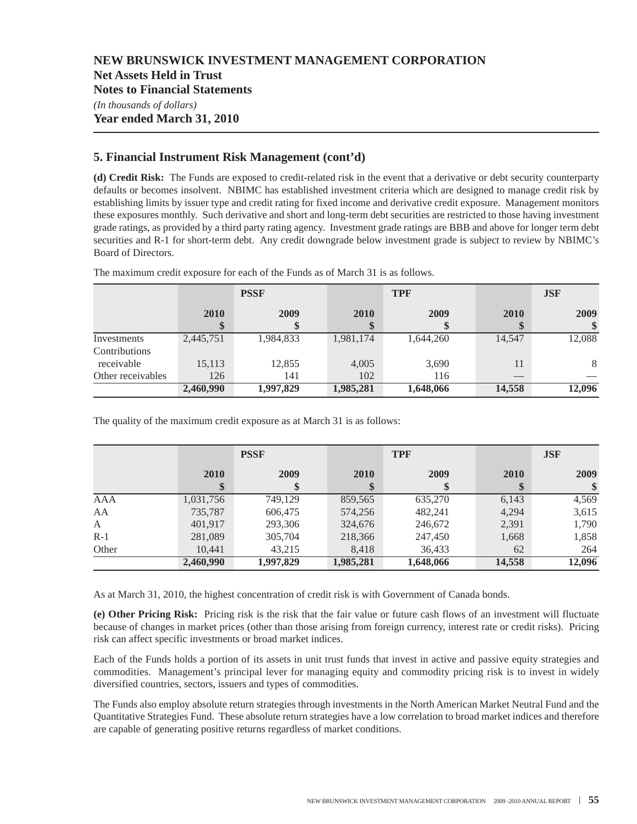**Net Assets Held in Trust**

**Notes to Financial Statements**

*(In thousands of dollars)*

### **Year ended March 31, 2010**

### **5. Financial Instrument Risk Management (cont'd)**

**(d) Credit Risk:** The Funds are exposed to credit-related risk in the event that a derivative or debt security counterparty defaults or becomes insolvent. NBIMC has established investment criteria which are designed to manage credit risk by establishing limits by issuer type and credit rating for fixed income and derivative credit exposure. Management monitors these exposures monthly. Such derivative and short and long-term debt securities are restricted to those having investment grade ratings, as provided by a third party rating agency. Investment grade ratings are BBB and above for longer term debt securities and R-1 for short-term debt. Any credit downgrade below investment grade is subject to review by NBIMC's Board of Directors.

|                   | <b>PSSF</b>       |           |           | <b>TPF</b> | <b>JSF</b>               |        |  |
|-------------------|-------------------|-----------|-----------|------------|--------------------------|--------|--|
|                   | <b>2010</b><br>\$ | 2009      | 2010      | 2009       | 2010                     | 2009   |  |
| Investments       | 2,445,751         | 1,984,833 | 1,981,174 | 1,644,260  | 14,547                   | 12,088 |  |
| Contributions     |                   |           |           |            |                          |        |  |
| receivable        | 15,113            | 12,855    | 4,005     | 3,690      | 11                       | 8      |  |
| Other receivables | 126               | 141       | 102       | 116        | $\qquad \qquad - \qquad$ |        |  |
|                   | 2,460,990         | 1,997,829 | 1,985,281 | 1,648,066  | 14,558                   | 12,096 |  |

The maximum credit exposure for each of the Funds as of March 31 is as follows.

The quality of the maximum credit exposure as at March 31 is as follows:

|       | <b>PSSF</b> |           |           | <b>TPF</b> | <b>JSF</b> |        |  |
|-------|-------------|-----------|-----------|------------|------------|--------|--|
|       | 2010<br>\$  | 2009      | 2010      | 2009       | 2010       | 2009   |  |
| AAA   | 1,031,756   | 749,129   | 859,565   | 635,270    | 6,143      | 4,569  |  |
| AA    | 735,787     | 606,475   | 574,256   | 482,241    | 4,294      | 3,615  |  |
| A     | 401.917     | 293,306   | 324,676   | 246,672    | 2,391      | 1,790  |  |
| $R-1$ | 281,089     | 305,704   | 218,366   | 247,450    | 1,668      | 1,858  |  |
| Other | 10.441      | 43,215    | 8,418     | 36,433     | 62         | 264    |  |
|       | 2,460,990   | 1,997,829 | 1,985,281 | 1,648,066  | 14,558     | 12,096 |  |

As at March 31, 2010, the highest concentration of credit risk is with Government of Canada bonds.

**(e) Other Pricing Risk:** Pricing risk is the risk that the fair value or future cash flows of an investment will fluctuate because of changes in market prices (other than those arising from foreign currency, interest rate or credit risks). Pricing risk can affect specific investments or broad market indices.

Each of the Funds holds a portion of its assets in unit trust funds that invest in active and passive equity strategies and commodities. Management's principal lever for managing equity and commodity pricing risk is to invest in widely diversified countries, sectors, issuers and types of commodities.

The Funds also employ absolute return strategies through investments in the North American Market Neutral Fund and the Quantitative Strategies Fund. These absolute return strategies have a low correlation to broad market indices and therefore are capable of generating positive returns regardless of market conditions.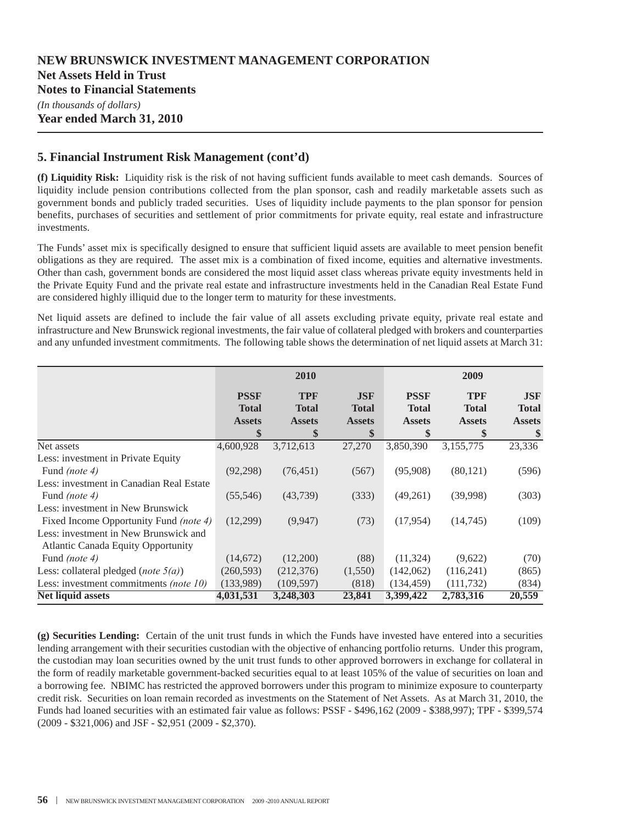**Year ended March 31, 2010**

### **5. Financial Instrument Risk Management (cont'd)**

**(f) Liquidity Risk:** Liquidity risk is the risk of not having sufficient funds available to meet cash demands. Sources of liquidity include pension contributions collected from the plan sponsor, cash and readily marketable assets such as government bonds and publicly traded securities. Uses of liquidity include payments to the plan sponsor for pension benefits, purchases of securities and settlement of prior commitments for private equity, real estate and infrastructure investments.

The Funds' asset mix is specifically designed to ensure that sufficient liquid assets are available to meet pension benefit obligations as they are required. The asset mix is a combination of fixed income, equities and alternative investments. Other than cash, government bonds are considered the most liquid asset class whereas private equity investments held in the Private Equity Fund and the private real estate and infrastructure investments held in the Canadian Real Estate Fund are considered highly illiquid due to the longer term to maturity for these investments.

Net liquid assets are defined to include the fair value of all assets excluding private equity, private real estate and infrastructure and New Brunswick regional investments, the fair value of collateral pledged with brokers and counterparties and any unfunded investment commitments. The following table shows the determination of net liquid assets at March 31:

|                                           |                               | 2010                          |                               |                               | 2009                          |                               |  |
|-------------------------------------------|-------------------------------|-------------------------------|-------------------------------|-------------------------------|-------------------------------|-------------------------------|--|
|                                           | <b>PSSF</b>                   | <b>TPF</b>                    | <b>JSF</b>                    | <b>PSSF</b>                   | <b>TPF</b>                    | <b>JSF</b>                    |  |
|                                           | <b>Total</b><br><b>Assets</b> | <b>Total</b><br><b>Assets</b> | <b>Total</b><br><b>Assets</b> | <b>Total</b><br><b>Assets</b> | <b>Total</b><br><b>Assets</b> | <b>Total</b><br><b>Assets</b> |  |
|                                           | \$                            | \$                            | \$                            | \$                            | \$                            | \$                            |  |
| Net assets                                | 4,600,928                     | 3,712,613                     | 27,270                        | 3,850,390                     | 3,155,775                     | 23,336                        |  |
| Less: investment in Private Equity        |                               |                               |                               |                               |                               |                               |  |
| Fund <i>(note 4)</i>                      | (92,298)                      | (76, 451)                     | (567)                         | (95,908)                      | (80, 121)                     | (596)                         |  |
| Less: investment in Canadian Real Estate  |                               |                               |                               |                               |                               |                               |  |
| Fund <i>(note 4)</i>                      | (55,546)                      | (43,739)                      | (333)                         | (49,261)                      | (39,998)                      | (303)                         |  |
| Less: investment in New Brunswick         |                               |                               |                               |                               |                               |                               |  |
| Fixed Income Opportunity Fund (note 4)    | (12,299)                      | (9,947)                       | (73)                          | (17, 954)                     | (14,745)                      | (109)                         |  |
| Less: investment in New Brunswick and     |                               |                               |                               |                               |                               |                               |  |
| <b>Atlantic Canada Equity Opportunity</b> |                               |                               |                               |                               |                               |                               |  |
| Fund <i>(note 4)</i>                      | (14,672)                      | (12,200)                      | (88)                          | (11, 324)                     | (9,622)                       | (70)                          |  |
| Less: collateral pledged (note $5(a)$ )   | (260, 593)                    | (212, 376)                    | (1,550)                       | (142,062)                     | (116,241)                     | (865)                         |  |
| Less: investment commitments (note 10)    | (133,989)                     | (109, 597)                    | (818)                         | (134, 459)                    | (111, 732)                    | (834)                         |  |
| Net liquid assets                         | 4,031,531                     | 3,248,303                     | 23,841                        | 3,399,422                     | 2,783,316                     | 20,559                        |  |

**(g) Securities Lending:** Certain of the unit trust funds in which the Funds have invested have entered into a securities lending arrangement with their securities custodian with the objective of enhancing portfolio returns. Under this program, the custodian may loan securities owned by the unit trust funds to other approved borrowers in exchange for collateral in the form of readily marketable government-backed securities equal to at least 105% of the value of securities on loan and a borrowing fee. NBIMC has restricted the approved borrowers under this program to minimize exposure to counterparty credit risk. Securities on loan remain recorded as investments on the Statement of Net Assets. As at March 31, 2010, the Funds had loaned securities with an estimated fair value as follows: PSSF - \$496,162 (2009 - \$388,997); TPF - \$399,574 (2009 - \$321,006) and JSF - \$2,951 (2009 - \$2,370).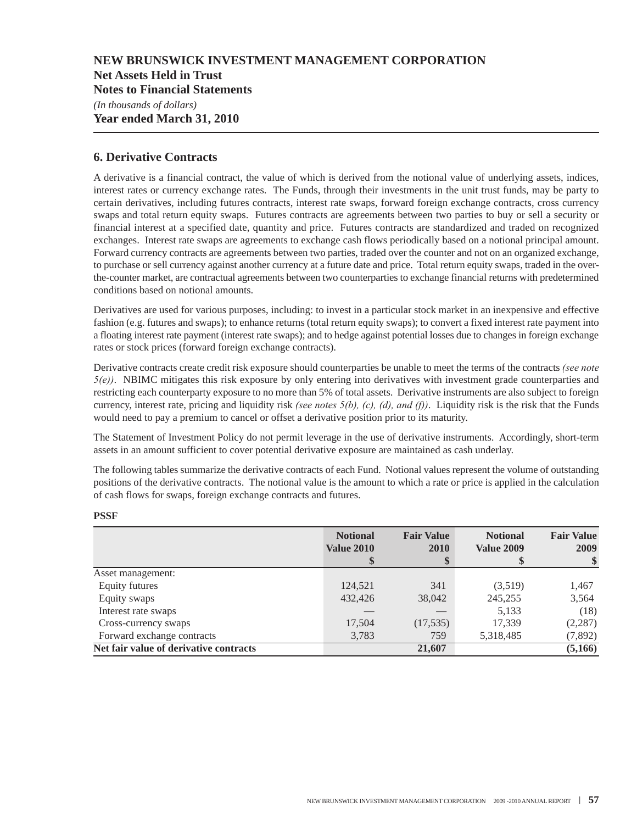**Net Assets Held in Trust**

**Notes to Financial Statements**

*(In thousands of dollars)* **Year ended March 31, 2010**

### **6. Derivative Contracts**

A derivative is a financial contract, the value of which is derived from the notional value of underlying assets, indices, interest rates or currency exchange rates. The Funds, through their investments in the unit trust funds, may be party to certain derivatives, including futures contracts, interest rate swaps, forward foreign exchange contracts, cross currency swaps and total return equity swaps. Futures contracts are agreements between two parties to buy or sell a security or financial interest at a specified date, quantity and price. Futures contracts are standardized and traded on recognized exchanges. Interest rate swaps are agreements to exchange cash flows periodically based on a notional principal amount. Forward currency contracts are agreements between two parties, traded over the counter and not on an organized exchange, to purchase or sell currency against another currency at a future date and price. Total return equity swaps, traded in the overthe-counter market, are contractual agreements between two counterparties to exchange financial returns with predetermined conditions based on notional amounts.

Derivatives are used for various purposes, including: to invest in a particular stock market in an inexpensive and effective fashion (e.g. futures and swaps); to enhance returns (total return equity swaps); to convert a fixed interest rate payment into a floating interest rate payment (interest rate swaps); and to hedge against potential losses due to changes in foreign exchange rates or stock prices (forward foreign exchange contracts).

Derivative contracts create credit risk exposure should counterparties be unable to meet the terms of the contracts *(see note 5(e))*. NBIMC mitigates this risk exposure by only entering into derivatives with investment grade counterparties and restricting each counterparty exposure to no more than 5% of total assets. Derivative instruments are also subject to foreign currency, interest rate, pricing and liquidity risk *(see notes 5(b), (c), (d), and (f))*. Liquidity risk is the risk that the Funds would need to pay a premium to cancel or offset a derivative position prior to its maturity.

The Statement of Investment Policy do not permit leverage in the use of derivative instruments. Accordingly, short-term assets in an amount sufficient to cover potential derivative exposure are maintained as cash underlay.

The following tables summarize the derivative contracts of each Fund. Notional values represent the volume of outstanding positions of the derivative contracts. The notional value is the amount to which a rate or price is applied in the calculation of cash flows for swaps, foreign exchange contracts and futures.

|                                        | <b>Notional</b><br><b>Value 2010</b> | <b>Fair Value</b><br>2010<br>\$ | <b>Notional</b><br><b>Value 2009</b> | <b>Fair Value</b><br>2009 |
|----------------------------------------|--------------------------------------|---------------------------------|--------------------------------------|---------------------------|
| Asset management:                      |                                      |                                 |                                      |                           |
| Equity futures                         | 124.521                              | 341                             | (3,519)                              | 1,467                     |
| Equity swaps                           | 432,426                              | 38,042                          | 245,255                              | 3,564                     |
| Interest rate swaps                    |                                      |                                 | 5,133                                | (18)                      |
| Cross-currency swaps                   | 17,504                               | (17, 535)                       | 17.339                               | (2, 287)                  |
| Forward exchange contracts             | 3,783                                | 759                             | 5,318,485                            | (7,892)                   |
| Net fair value of derivative contracts |                                      | 21,607                          |                                      | (5,166)                   |

#### **PSSF**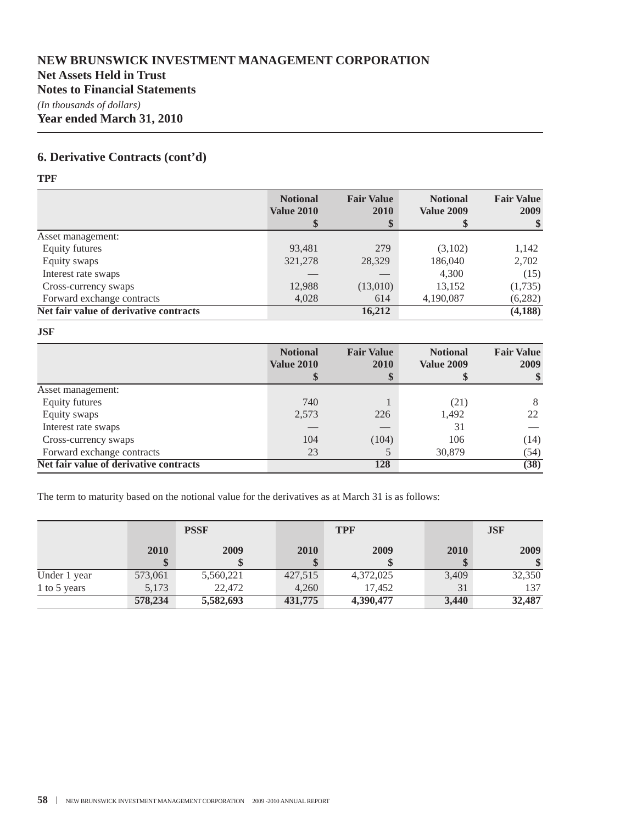### **Net Assets Held in Trust**

**Notes to Financial Statements**

*(In thousands of dollars)* **Year ended March 31, 2010**

### **6. Derivative Contracts (cont'd)**

**TPF**

|                                        | <b>Notional</b><br><b>Value 2010</b> | <b>Fair Value</b><br><b>2010</b><br>\$ | <b>Notional</b><br><b>Value 2009</b> | <b>Fair Value</b><br>2009 |
|----------------------------------------|--------------------------------------|----------------------------------------|--------------------------------------|---------------------------|
| Asset management:                      |                                      |                                        |                                      |                           |
| Equity futures                         | 93,481                               | 279                                    | (3,102)                              | 1,142                     |
| Equity swaps                           | 321,278                              | 28,329                                 | 186,040                              | 2,702                     |
| Interest rate swaps                    |                                      |                                        | 4,300                                | (15)                      |
| Cross-currency swaps                   | 12,988                               | (13,010)                               | 13,152                               | (1,735)                   |
| Forward exchange contracts             | 4,028                                | 614                                    | 4,190,087                            | (6,282)                   |
| Net fair value of derivative contracts |                                      | 16,212                                 |                                      | (4, 188)                  |

**JSF**

|                                        | <b>Notional</b><br><b>Value 2010</b> | <b>Fair Value</b><br>2010<br>\$ | <b>Notional</b><br><b>Value 2009</b> | <b>Fair Value</b><br>2009 |
|----------------------------------------|--------------------------------------|---------------------------------|--------------------------------------|---------------------------|
| Asset management:                      |                                      |                                 |                                      |                           |
| Equity futures                         | 740                                  |                                 | (21)                                 | 8                         |
| Equity swaps                           | 2,573                                | 226                             | 1,492                                | 22                        |
| Interest rate swaps                    |                                      |                                 | 31                                   |                           |
| Cross-currency swaps                   | 104                                  | (104)                           | 106                                  | (14)                      |
| Forward exchange contracts             | 23                                   |                                 | 30,879                               | (54)                      |
| Net fair value of derivative contracts |                                      | 128                             |                                      | (38)                      |

The term to maturity based on the notional value for the derivatives as at March 31 is as follows:

|              |         | <b>PSSF</b> |         | <b>TPF</b> |       | <b>JSF</b> |
|--------------|---------|-------------|---------|------------|-------|------------|
|              | 2010    | 2009        | 2010    | 2009       | 2010  | 2009       |
|              |         |             |         |            |       |            |
| Under 1 year | 573,061 | 5,560,221   | 427,515 | 4,372,025  | 3,409 | 32,350     |
| 1 to 5 years | 5,173   | 22,472      | 4.260   | 17.452     | 31    | 137        |
|              | 578,234 | 5,582,693   | 431,775 | 4,390,477  | 3,440 | 32,487     |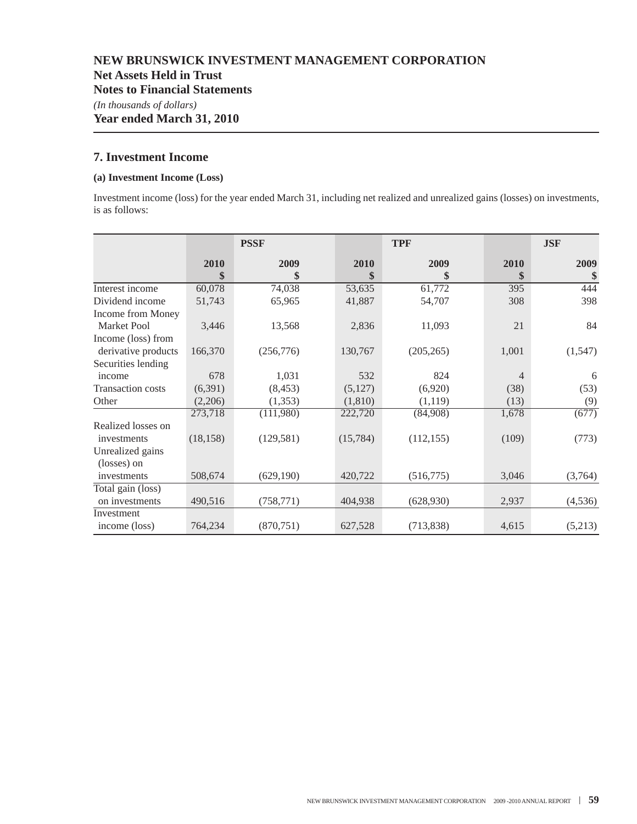**Net Assets Held in Trust**

**Notes to Financial Statements**

*(In thousands of dollars)*

**Year ended March 31, 2010**

#### **7. Investment Income**

#### **(a) Investment Income (Loss)**

Investment income (loss) for the year ended March 31, including net realized and unrealized gains (losses) on investments, is as follows:

|                          |           | <b>PSSF</b> |           | <b>TPF</b> |                | <b>JSF</b> |
|--------------------------|-----------|-------------|-----------|------------|----------------|------------|
|                          | 2010      | 2009        | 2010      | 2009       | 2010           | 2009       |
|                          | \$        | \$          | \$        | \$         | \$             | \$         |
| Interest income          | 60,078    | 74,038      | 53,635    | 61,772     | 395            | 444        |
| Dividend income          | 51,743    | 65,965      | 41,887    | 54,707     | 308            | 398        |
| Income from Money        |           |             |           |            |                |            |
| <b>Market Pool</b>       | 3,446     | 13,568      | 2,836     | 11,093     | 21             | 84         |
| Income (loss) from       |           |             |           |            |                |            |
| derivative products      | 166,370   | (256,776)   | 130,767   | (205, 265) | 1,001          | (1, 547)   |
| Securities lending       |           |             |           |            |                |            |
| income                   | 678       | 1,031       | 532       | 824        | $\overline{4}$ | 6          |
| <b>Transaction costs</b> | (6,391)   | (8, 453)    | (5,127)   | (6,920)    | (38)           | (53)       |
| Other                    | (2,206)   | (1,353)     | (1,810)   | (1,119)    | (13)           | (9)        |
|                          | 273,718   | (111,980)   | 222,720   | (84,908)   | 1,678          | (677)      |
| Realized losses on       |           |             |           |            |                |            |
| investments              | (18, 158) | (129, 581)  | (15, 784) | (112, 155) | (109)          | (773)      |
| Unrealized gains         |           |             |           |            |                |            |
| (losses) on              |           |             |           |            |                |            |
| investments              | 508,674   | (629, 190)  | 420,722   | (516, 775) | 3,046          | (3,764)    |
| Total gain (loss)        |           |             |           |            |                |            |
| on investments           | 490,516   | (758, 771)  | 404,938   | (628, 930) | 2,937          | (4, 536)   |
| Investment               |           |             |           |            |                |            |
| income (loss)            | 764,234   | (870, 751)  | 627,528   | (713, 838) | 4,615          | (5,213)    |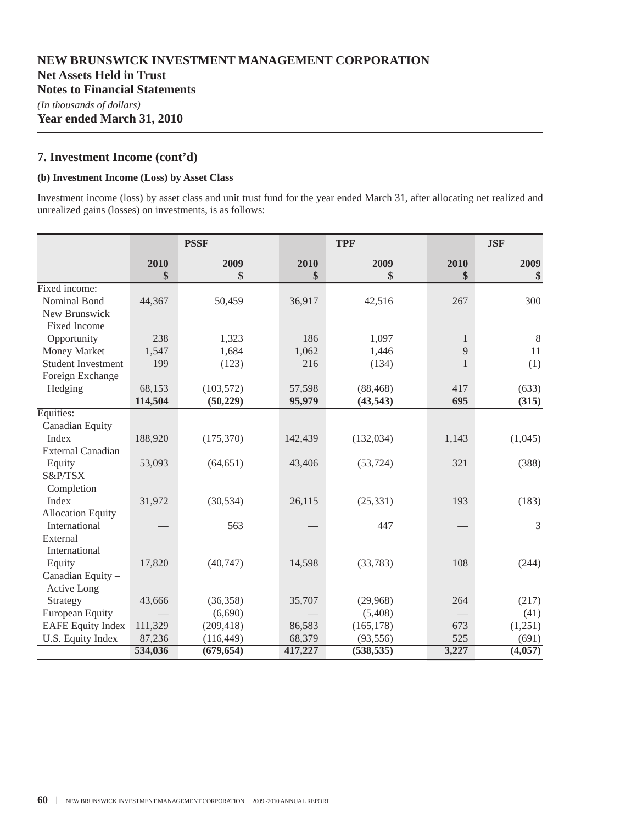**Year ended March 31, 2010**

### **7. Investment Income (cont'd)**

#### **(b) Investment Income (Loss) by Asset Class**

Investment income (loss) by asset class and unit trust fund for the year ended March 31, after allocating net realized and unrealized gains (losses) on investments, is as follows:

|                           | <b>PSSF</b> |            |         | <b>TPF</b> |              | <b>JSF</b> |  |
|---------------------------|-------------|------------|---------|------------|--------------|------------|--|
|                           | 2010        | 2009       | 2010    | 2009       | 2010         | 2009       |  |
|                           | \$          | \$         | \$      | \$         | \$           | \$         |  |
| Fixed income:             |             |            |         |            |              |            |  |
| Nominal Bond              | 44,367      | 50,459     | 36,917  | 42,516     | 267          | 300        |  |
| New Brunswick             |             |            |         |            |              |            |  |
| <b>Fixed Income</b>       |             |            |         |            |              |            |  |
| Opportunity               | 238         | 1,323      | 186     | 1,097      | $\mathbf{1}$ | 8          |  |
| Money Market              | 1,547       | 1,684      | 1,062   | 1,446      | 9            | 11         |  |
| <b>Student Investment</b> | 199         | (123)      | 216     | (134)      | $\mathbf{1}$ | (1)        |  |
| Foreign Exchange          |             |            |         |            |              |            |  |
| Hedging                   | 68,153      | (103, 572) | 57,598  | (88, 468)  | 417          | (633)      |  |
|                           | 114,504     | (50, 229)  | 95,979  | (43, 543)  | 695          | (315)      |  |
| Equities:                 |             |            |         |            |              |            |  |
| Canadian Equity           |             |            |         |            |              |            |  |
| Index                     | 188,920     | (175, 370) | 142,439 | (132, 034) | 1,143        | (1,045)    |  |
| <b>External Canadian</b>  |             |            |         |            |              |            |  |
| Equity                    | 53,093      | (64, 651)  | 43,406  | (53, 724)  | 321          | (388)      |  |
| S&P/TSX                   |             |            |         |            |              |            |  |
| Completion                |             |            |         |            |              |            |  |
| Index                     | 31,972      | (30, 534)  | 26,115  | (25, 331)  | 193          | (183)      |  |
| <b>Allocation Equity</b>  |             |            |         |            |              |            |  |
| International             |             | 563        |         | 447        |              | 3          |  |
| External                  |             |            |         |            |              |            |  |
| International             |             |            |         |            |              |            |  |
| Equity                    | 17,820      | (40,747)   | 14,598  | (33,783)   | 108          | (244)      |  |
| Canadian Equity -         |             |            |         |            |              |            |  |
| Active Long               |             |            |         |            |              |            |  |
| Strategy                  | 43,666      | (36, 358)  | 35,707  | (29,968)   | 264          | (217)      |  |
| <b>European Equity</b>    |             | (6,690)    |         | (5,408)    |              | (41)       |  |
| <b>EAFE Equity Index</b>  | 111,329     | (209, 418) | 86,583  | (165, 178) | 673          | (1,251)    |  |
| U.S. Equity Index         | 87,236      | (116, 449) | 68,379  | (93, 556)  | 525          | (691)      |  |
|                           | 534,036     | (679, 654) | 417,227 | (538, 535) | 3,227        | (4,057)    |  |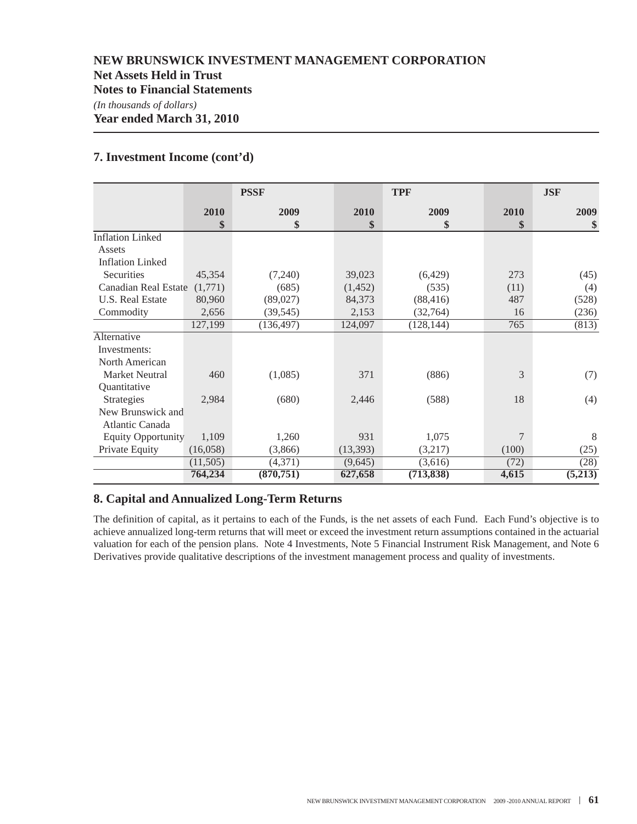### **7. Investment Income (cont'd)**

|                           |            | <b>PSSF</b> |            | <b>TPF</b> |            | <b>JSF</b> |
|---------------------------|------------|-------------|------------|------------|------------|------------|
|                           | 2010<br>\$ | 2009<br>\$  | 2010<br>\$ | 2009<br>\$ | 2010<br>\$ | 2009<br>\$ |
| <b>Inflation Linked</b>   |            |             |            |            |            |            |
| Assets                    |            |             |            |            |            |            |
| <b>Inflation Linked</b>   |            |             |            |            |            |            |
| <b>Securities</b>         | 45,354     | (7,240)     | 39,023     | (6,429)    | 273        | (45)       |
| Canadian Real Estate      | (1,771)    | (685)       | (1,452)    | (535)      | (11)       | (4)        |
| U.S. Real Estate          | 80,960     | (89,027)    | 84,373     | (88, 416)  | 487        | (528)      |
| Commodity                 | 2,656      | (39, 545)   | 2,153      | (32, 764)  | 16         | (236)      |
|                           | 127,199    | (136, 497)  | 124,097    | (128, 144) | 765        | (813)      |
| Alternative               |            |             |            |            |            |            |
| Investments:              |            |             |            |            |            |            |
| North American            |            |             |            |            |            |            |
| <b>Market Neutral</b>     | 460        | (1,085)     | 371        | (886)      | 3          | (7)        |
| Quantitative              |            |             |            |            |            |            |
| Strategies                | 2,984      | (680)       | 2,446      | (588)      | 18         | (4)        |
| New Brunswick and         |            |             |            |            |            |            |
| Atlantic Canada           |            |             |            |            |            |            |
| <b>Equity Opportunity</b> | 1,109      | 1,260       | 931        | 1,075      | 7          | 8          |
| Private Equity            | (16,058)   | (3,866)     | (13,393)   | (3,217)    | (100)      | (25)       |
|                           | (11,505)   | (4,371)     | (9,645)    | (3,616)    | (72)       | (28)       |
|                           | 764,234    | (870, 751)  | 627,658    | (713, 838) | 4,615      | (5,213)    |

### **8. Capital and Annualized Long-Term Returns**

The definition of capital, as it pertains to each of the Funds, is the net assets of each Fund. Each Fund's objective is to achieve annualized long-term returns that will meet or exceed the investment return assumptions contained in the actuarial valuation for each of the pension plans. Note 4 Investments, Note 5 Financial Instrument Risk Management, and Note 6 Derivatives provide qualitative descriptions of the investment management process and quality of investments.